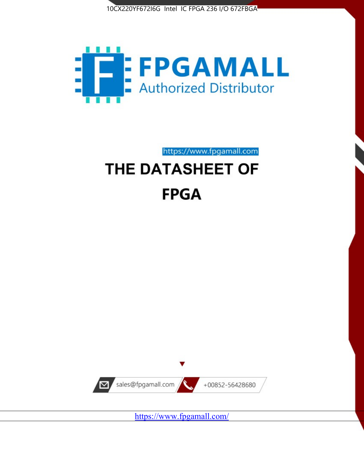



https://www.fpgamall.com

# THE DATASHEET OF **FPGA**



<https://www.fpgamall.com/>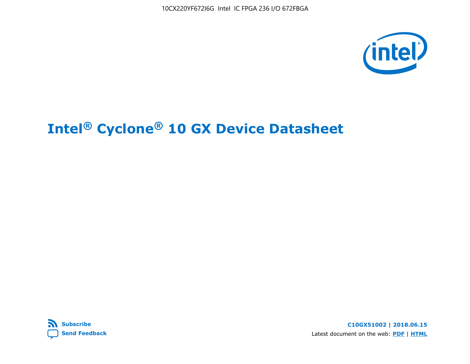



**C10GX51002 | 2018.06.15** Latest document on the web: **[PDF](https://www.altera.com/en_US/pdfs/literature/hb/cyclone-10/c10gx-51002.pdf)** | **[HTML](https://www.altera.com/documentation/muf1488511478825.html)**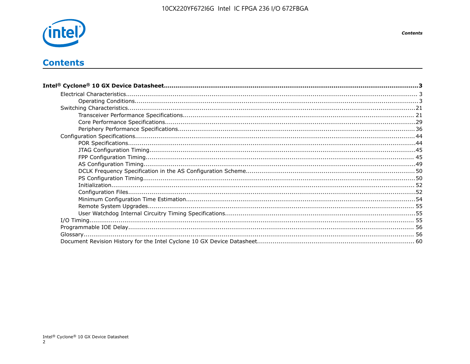

# **Contents**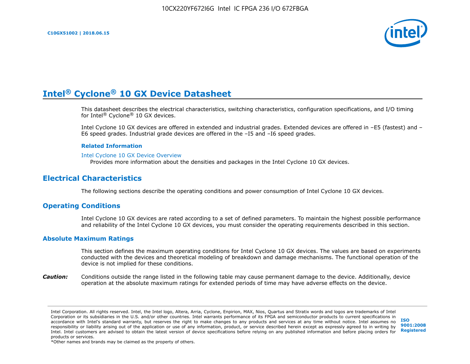

This datasheet describes the electrical characteristics, switching characteristics, configuration specifications, and I/O timing for Intel® Cyclone® 10 GX devices.

Intel Cyclone 10 GX devices are offered in extended and industrial grades. Extended devices are offered in –E5 (fastest) and – E6 speed grades. Industrial grade devices are offered in the –I5 and –I6 speed grades.

#### **Related Information**

#### [Intel Cyclone 10 GX Device Overview](https://www.altera.com/documentation/grc1488182989852.html#mvd1484026010948)

Provides more information about the densities and packages in the Intel Cyclone 10 GX devices.

# **Electrical Characteristics**

The following sections describe the operating conditions and power consumption of Intel Cyclone 10 GX devices.

## **Operating Conditions**

Intel Cyclone 10 GX devices are rated according to a set of defined parameters. To maintain the highest possible performance and reliability of the Intel Cyclone 10 GX devices, you must consider the operating requirements described in this section.

#### **Absolute Maximum Ratings**

This section defines the maximum operating conditions for Intel Cyclone 10 GX devices. The values are based on experiments conducted with the devices and theoretical modeling of breakdown and damage mechanisms. The functional operation of the device is not implied for these conditions.

*Caution:* Conditions outside the range listed in the following table may cause permanent damage to the device. Additionally, device operation at the absolute maximum ratings for extended periods of time may have adverse effects on the device.

**[ISO](http://www.altera.com/support/devices/reliability/certifications/rel-certifications.html) [9001:2008](http://www.altera.com/support/devices/reliability/certifications/rel-certifications.html) [Registered](http://www.altera.com/support/devices/reliability/certifications/rel-certifications.html)**

\*Other names and brands may be claimed as the property of others.

Intel Corporation. All rights reserved. Intel, the Intel logo, Altera, Arria, Cyclone, Enpirion, MAX, Nios, Quartus and Stratix words and logos are trademarks of Intel Corporation or its subsidiaries in the U.S. and/or other countries. Intel warrants performance of its FPGA and semiconductor products to current specifications in accordance with Intel's standard warranty, but reserves the right to make changes to any products and services at any time without notice. Intel assumes no responsibility or liability arising out of the application or use of any information, product, or service described herein except as expressly agreed to in writing by Intel. Intel customers are advised to obtain the latest version of device specifications before relying on any published information and before placing orders for products or services.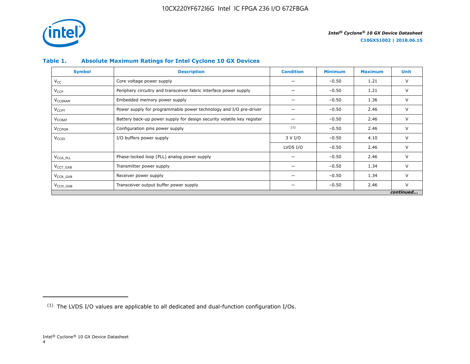

## **Table 1. Absolute Maximum Ratings for Intel Cyclone 10 GX Devices**

| <b>Symbol</b>             | <b>Description</b>                                                     | <b>Condition</b> | <b>Minimum</b> | <b>Maximum</b> | Unit      |
|---------------------------|------------------------------------------------------------------------|------------------|----------------|----------------|-----------|
| $V_{CC}$                  | Core voltage power supply                                              |                  | $-0.50$        | 1.21           | V         |
| <b>V<sub>CCP</sub></b>    | Periphery circuitry and transceiver fabric interface power supply      |                  | $-0.50$        | 1.21           | V         |
| <b>V<sub>CCERAM</sub></b> | Embedded memory power supply                                           |                  | $-0.50$        | 1.36           | $\vee$    |
| $V_{\text{CCPT}}$         | Power supply for programmable power technology and I/O pre-driver      |                  | $-0.50$        | 2.46           | V         |
| $V_{\text{CCBAT}}$        | Battery back-up power supply for design security volatile key register |                  | $-0.50$        | 2.46           | V         |
| V <sub>CCPGM</sub>        | Configuration pins power supply                                        | (1)              | $-0.50$        | 2.46           | V         |
| V <sub>CCIO</sub>         | I/O buffers power supply                                               | 3 V I/O          | $-0.50$        | 4.10           | $\vee$    |
|                           |                                                                        | LVDS I/O         | $-0.50$        | 2.46           | $\vee$    |
| V <sub>CCA PLL</sub>      | Phase-locked loop (PLL) analog power supply                            |                  | $-0.50$        | 2.46           | V         |
| $VCCT$ GXB                | Transmitter power supply                                               |                  | $-0.50$        | 1.34           | V         |
| $V_{CCR_GXB}$             | Receiver power supply                                                  |                  | $-0.50$        | 1.34           | $\vee$    |
| $V_{\text{CCH_GXB}}$      | Transceiver output buffer power supply                                 |                  | $-0.50$        | 2.46           | $\vee$    |
|                           |                                                                        |                  |                |                | continued |

<sup>(1)</sup> The LVDS I/O values are applicable to all dedicated and dual-function configuration I/Os.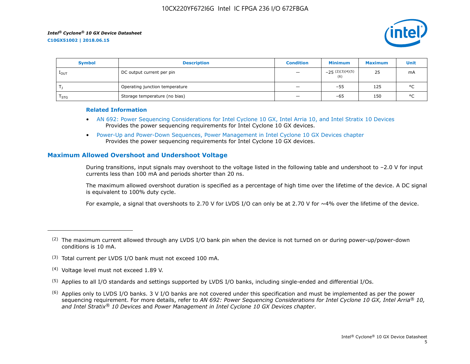

| <b>Symbol</b>    | <b>Description</b>             | <b>Condition</b>         | <b>Minimum</b>           | <b>Maximum</b> | Unit    |
|------------------|--------------------------------|--------------------------|--------------------------|----------------|---------|
| 1 <sub>OUT</sub> | DC output current per pin      | $\qquad \qquad -$        | $-25(2)(3)(4)(5)$<br>(6) | 25             | mA      |
|                  | Operating junction temperature | $\qquad \qquad -$        | $-55$                    | 125            | $\circ$ |
| $I_{STG}$        | Storage temperature (no bias)  | $\overline{\phantom{0}}$ | -65                      | 150            | $\circ$ |

#### **Related Information**

- [AN 692: Power Sequencing Considerations for Intel Cyclone 10 GX, Intel Arria 10, and Intel Stratix 10 Devices](https://www.altera.com/documentation/nik1412640107351.html#nik1412640086729) Provides the power sequencing requirements for Intel Cyclone 10 GX devices.
- [Power-Up and Power-Down Sequences, Power Management in Intel Cyclone 10 GX Devices chapter](https://www.altera.com/documentation/vua1487061384661.html#qel1490343470589) Provides the power sequencing requirements for Intel Cyclone 10 GX devices.

## **Maximum Allowed Overshoot and Undershoot Voltage**

During transitions, input signals may overshoot to the voltage listed in the following table and undershoot to –2.0 V for input currents less than 100 mA and periods shorter than 20 ns.

The maximum allowed overshoot duration is specified as a percentage of high time over the lifetime of the device. A DC signal is equivalent to 100% duty cycle.

For example, a signal that overshoots to 2.70 V for LVDS I/O can only be at 2.70 V for ~4% over the lifetime of the device.

- (3) Total current per LVDS I/O bank must not exceed 100 mA.
- (4) Voltage level must not exceed 1.89 V.
- (5) Applies to all I/O standards and settings supported by LVDS I/O banks, including single-ended and differential I/Os.
- $(6)$  Applies only to LVDS I/O banks. 3 V I/O banks are not covered under this specification and must be implemented as per the power sequencing requirement. For more details, refer to *AN 692: Power Sequencing Considerations for Intel Cyclone 10 GX, Intel Arria® 10, and Intel Stratix® 10 Devices* and *Power Management in Intel Cyclone 10 GX Devices chapter*.

 $(2)$  The maximum current allowed through any LVDS I/O bank pin when the device is not turned on or during power-up/power-down conditions is 10 mA.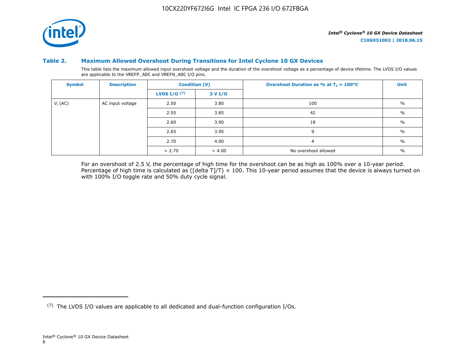

#### **Table 2. Maximum Allowed Overshoot During Transitions for Intel Cyclone 10 GX Devices**

This table lists the maximum allowed input overshoot voltage and the duration of the overshoot voltage as a percentage of device lifetime. The LVDS I/O values are applicable to the VREFP\_ADC and VREFN\_ADC I/O pins.

| <b>Symbol</b> | <b>Description</b> |                       | <b>Condition (V)</b> | Overshoot Duration as % at $T_1 = 100^{\circ}C$ | Unit          |
|---------------|--------------------|-----------------------|----------------------|-------------------------------------------------|---------------|
|               |                    | <b>LVDS I/O</b> $(7)$ | 3 V I/O              |                                                 |               |
| $V_i$ (AC)    | AC input voltage   | 2.50                  | 3.80                 | 100                                             | $\frac{0}{0}$ |
|               |                    | 2.55                  | 3.85                 | 42                                              | $\%$          |
|               |                    | 2.60                  | 3.90                 | 18                                              | $\frac{0}{0}$ |
|               |                    | 2.65                  | 3.95                 | 9                                               | $\%$          |
|               |                    | 2.70                  | 4.00                 | $\overline{a}$                                  | $\%$          |
|               |                    | > 2.70                | > 4.00               | No overshoot allowed                            | $\%$          |

For an overshoot of 2.5 V, the percentage of high time for the overshoot can be as high as 100% over a 10-year period. Percentage of high time is calculated as ([delta T]/T)  $\times$  100. This 10-year period assumes that the device is always turned on with 100% I/O toggle rate and 50% duty cycle signal.

<sup>(7)</sup> The LVDS I/O values are applicable to all dedicated and dual-function configuration I/Os.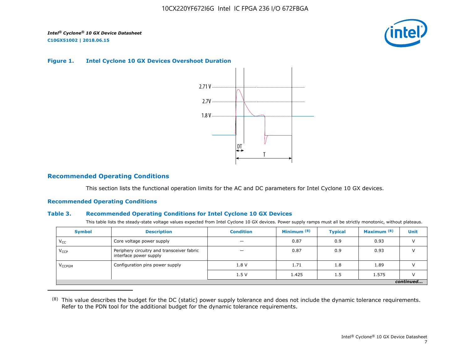

#### **Figure 1. Intel Cyclone 10 GX Devices Overshoot Duration**



## **Recommended Operating Conditions**

This section lists the functional operation limits for the AC and DC parameters for Intel Cyclone 10 GX devices.

#### **Recommended Operating Conditions**

#### **Table 3. Recommended Operating Conditions for Intel Cyclone 10 GX Devices**

This table lists the steady-state voltage values expected from Intel Cyclone 10 GX devices. Power supply ramps must all be strictly monotonic, without plateaus.

| <b>Symbol</b>            | <b>Description</b>                                                   | <b>Condition</b> | Minimum <sup>(8)</sup> | <b>Typical</b> | Maximum <sup>(8)</sup> | <b>Unit</b> |  |  |  |  |  |
|--------------------------|----------------------------------------------------------------------|------------------|------------------------|----------------|------------------------|-------------|--|--|--|--|--|
| $V_{CC}$                 | Core voltage power supply                                            | -                | 0.87                   | 0.9            | 0.93                   |             |  |  |  |  |  |
| $V_{CCP}$                | Periphery circuitry and transceiver fabric<br>interface power supply |                  | 0.87                   | 0.9            | 0.93                   |             |  |  |  |  |  |
| <b>V<sub>CCPGM</sub></b> | Configuration pins power supply                                      | 1.8V             | 1.71                   | 1.8            | 1.89                   |             |  |  |  |  |  |
|                          |                                                                      | 1.5V             | 1.425                  | 1.5            | 1.575                  |             |  |  |  |  |  |
|                          | continued                                                            |                  |                        |                |                        |             |  |  |  |  |  |

<sup>(8)</sup> This value describes the budget for the DC (static) power supply tolerance and does not include the dynamic tolerance requirements. Refer to the PDN tool for the additional budget for the dynamic tolerance requirements.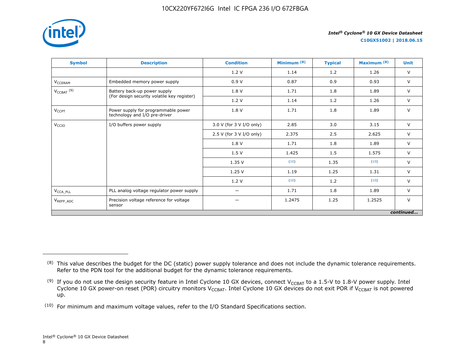

**C10GX51002 | 2018.06.15**

| <b>Symbol</b>                     | <b>Description</b>                                                   | <b>Condition</b>         | Minimum <sup>(8)</sup> | <b>Typical</b> | Maximum <sup>(8)</sup> | <b>Unit</b> |
|-----------------------------------|----------------------------------------------------------------------|--------------------------|------------------------|----------------|------------------------|-------------|
|                                   |                                                                      | 1.2V                     | 1.14                   | 1.2            | 1.26                   | $\vee$      |
| V <sub>CCERAM</sub>               | Embedded memory power supply                                         | 0.9V                     | 0.87                   | 0.9            | 0.93                   | $\vee$      |
| $V_{\text{CCBAT}}$ <sup>(9)</sup> | Battery back-up power supply                                         | 1.8 V                    | 1.71                   | 1.8            | 1.89                   | $\vee$      |
|                                   | (For design security volatile key register)                          | 1.2V                     | 1.14                   | 1.2            | 1.26                   | $\vee$      |
| $V_{CCPT}$                        | Power supply for programmable power<br>technology and I/O pre-driver | 1.8 V                    | 1.71                   | 1.8            | 1.89                   | $\vee$      |
| V <sub>CCIO</sub>                 | I/O buffers power supply                                             | 3.0 V (for 3 V I/O only) | 2.85                   | 3.0            | 3.15                   | $\vee$      |
|                                   |                                                                      | 2.5 V (for 3 V I/O only) | 2.375                  | 2.5            | 2.625                  | $\vee$      |
|                                   |                                                                      | 1.8 V                    | 1.71                   | 1.8            | 1.89                   | $\vee$      |
|                                   |                                                                      | 1.5V                     | 1.425                  | 1.5            | 1.575                  | $\vee$      |
|                                   |                                                                      | 1.35V                    | (10)                   | 1.35           | (10)                   | $\vee$      |
|                                   |                                                                      | 1.25V                    | 1.19                   | 1.25           | 1.31                   | $\vee$      |
|                                   |                                                                      | 1.2V                     | (10)                   | 1.2            | (10)                   | $\vee$      |
| $V_{\text{CCA\_PLL}}$             | PLL analog voltage regulator power supply                            | $\overline{\phantom{0}}$ | 1.71                   | 1.8            | 1.89                   | $\vee$      |
| $V_{REFP\_ADC}$                   | Precision voltage reference for voltage<br>sensor                    |                          | 1.2475                 | 1.25           | 1.2525                 | $\vee$      |
|                                   |                                                                      |                          |                        |                |                        | continued   |

<sup>&</sup>lt;sup>(8)</sup> This value describes the budget for the DC (static) power supply tolerance and does not include the dynamic tolerance requirements. Refer to the PDN tool for the additional budget for the dynamic tolerance requirements.

 $^{(9)}$  If you do not use the design security feature in Intel Cyclone 10 GX devices, connect V $_{\rm CCBAT}$  to a 1.5-V to 1.8-V power supply. Intel Cyclone 10 GX power-on reset (POR) circuitry monitors V $_{\rm CCBAT}$ . Intel Cyclone 10 GX devices do not exit POR if V $_{\rm CCBAT}$  is not powered up.

 $(10)$  For minimum and maximum voltage values, refer to the I/O Standard Specifications section.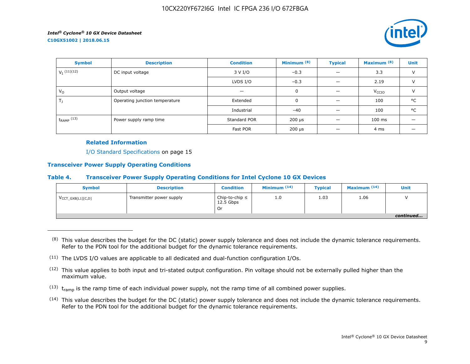

| <b>Symbol</b>             | <b>Description</b>             | Minimum <sup>(8)</sup><br><b>Condition</b> |                           | <b>Typical</b> | Maximum <sup>(8)</sup> | <b>Unit</b>   |
|---------------------------|--------------------------------|--------------------------------------------|---------------------------|----------------|------------------------|---------------|
| $V_I$ <sup>(11)(12)</sup> | DC input voltage               | 3 V I/O                                    | $-0.3$                    |                | 3.3                    | $\vee$        |
|                           |                                | LVDS I/O                                   | $-0.3$                    |                | 2.19                   | $\vee$        |
| $V_{\rm O}$               | Output voltage                 |                                            | 0                         |                | V <sub>CCIO</sub>      | $\mathcal{U}$ |
| $T_{\rm J}$               | Operating junction temperature | Extended                                   | 0                         |                | 100                    | °C            |
|                           |                                | Industrial                                 | $-40$                     |                | 100                    | °C            |
| $t_{RAMP}$ (13)           | Power supply ramp time         | Standard POR                               | 200 µs                    |                | $100$ ms               |               |
|                           |                                | Fast POR                                   | $200 \text{ }\mu\text{s}$ |                | 4 ms                   |               |

## **Related Information**

I/O Standard Specifications on page 15

### **Transceiver Power Supply Operating Conditions**

## **Table 4. Transceiver Power Supply Operating Conditions for Intel Cyclone 10 GX Devices**

| <b>Symbol</b>                 | <b>Description</b>       | <b>Condition</b>                         | Minimum $(14)$ | <b>Typical</b> | Maximum $(14)$ | Unit      |
|-------------------------------|--------------------------|------------------------------------------|----------------|----------------|----------------|-----------|
| $V_{\text{CCT_GXB[L1][C,D]}}$ | Transmitter power supply | Chip-to-chip $\leq$<br>12.5 Gbps<br>. Or | 1.0            | 1.03           | 1.06           |           |
|                               |                          |                                          |                |                |                | continued |

 $(8)$  This value describes the budget for the DC (static) power supply tolerance and does not include the dynamic tolerance requirements. Refer to the PDN tool for the additional budget for the dynamic tolerance requirements.

- $(13)$  t<sub>ramp</sub> is the ramp time of each individual power supply, not the ramp time of all combined power supplies.
- (14) This value describes the budget for the DC (static) power supply tolerance and does not include the dynamic tolerance requirements. Refer to the PDN tool for the additional budget for the dynamic tolerance requirements.

 $(11)$  The LVDS I/O values are applicable to all dedicated and dual-function configuration I/Os.

 $(12)$  This value applies to both input and tri-stated output configuration. Pin voltage should not be externally pulled higher than the maximum value.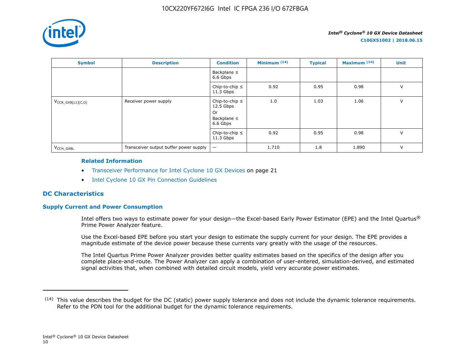

| <b>Symbol</b>          | <b>Description</b>                     | <b>Condition</b>                                                         | Minimum $(14)$ | <b>Typical</b> | Maximum $(14)$ | Unit   |
|------------------------|----------------------------------------|--------------------------------------------------------------------------|----------------|----------------|----------------|--------|
|                        |                                        | Backplane $\leq$<br>6.6 Gbps                                             |                |                |                |        |
|                        |                                        | Chip-to-chip $\leq$<br>$11.3$ Gbps                                       | 0.92           | 0.95           | 0.98           | $\vee$ |
| $V_{CCR_GXB[L1][C,D]}$ | Receiver power supply                  | Chip-to-chip $\leq$<br>$12.5$ Gbps<br>0r<br>Backplane $\leq$<br>6.6 Gbps | 1.0            | 1.03           | 1.06           | $\vee$ |
|                        |                                        | Chip-to-chip $\leq$<br>$11.3$ Gbps                                       | 0.92           | 0.95           | 0.98           | $\vee$ |
| V <sub>CCH GXBL</sub>  | Transceiver output buffer power supply | $\qquad \qquad -$                                                        | 1.710          | 1.8            | 1.890          | $\vee$ |

#### **Related Information**

- Transceiver Performance for Intel Cyclone 10 GX Devices on page 21
- [Intel Cyclone 10 GX Pin Connection Guidelines](https://documentation.altera.com/#/link/osf1485840198234/hjb1485915147847)

## **DC Characteristics**

## **Supply Current and Power Consumption**

Intel offers two ways to estimate power for your design—the Excel-based Early Power Estimator (EPE) and the Intel Quartus® Prime Power Analyzer feature.

Use the Excel-based EPE before you start your design to estimate the supply current for your design. The EPE provides a magnitude estimate of the device power because these currents vary greatly with the usage of the resources.

The Intel Quartus Prime Power Analyzer provides better quality estimates based on the specifics of the design after you complete place-and-route. The Power Analyzer can apply a combination of user-entered, simulation-derived, and estimated signal activities that, when combined with detailed circuit models, yield very accurate power estimates.

 $(14)$  This value describes the budget for the DC (static) power supply tolerance and does not include the dynamic tolerance requirements. Refer to the PDN tool for the additional budget for the dynamic tolerance requirements.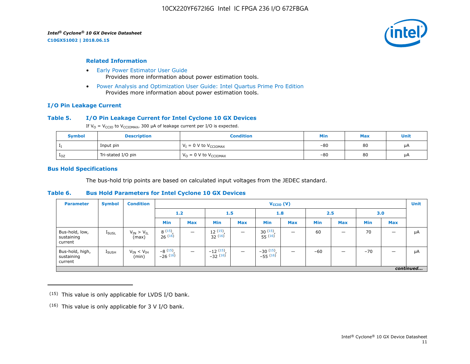**C10GX51002 | 2018.06.15**



#### **Related Information**

- [Early Power Estimator User Guide](https://www.altera.com/documentation/mhi1422370348549.html#mhi1422300784510) Provides more information about power estimation tools.
- [Power Analysis and Optimization User Guide: Intel Quartus Prime Pro Edition](https://www.altera.com/documentation/osq1513989409475.html#mwh1410384023666) Provides more information about power estimation tools.

#### **I/O Pin Leakage Current**

#### **Table 5. I/O Pin Leakage Current for Intel Cyclone 10 GX Devices**

If  $V_0 = V_{CCIO}$  to  $V_{CCIOMAX}$ , 300 µA of leakage current per I/O is expected.

| <b>Symbol</b> | <b>Description</b> | Condition                           | Min   | <b>Max</b> | Unit |
|---------------|--------------------|-------------------------------------|-------|------------|------|
|               | Input pin          | $V_I = 0$ V to $V_{\text{CCIOMAX}}$ | $-80$ | 80         | μA   |
| $1_{OZ}$      | Tri-stated I/O pin | $V_{O} = 0$ V to $V_{CCIOMAX}$      | $-80$ | 80         | μA   |

#### **Bus Hold Specifications**

The bus-hold trip points are based on calculated input voltages from the JEDEC standard.

#### **Table 6. Bus Hold Parameters for Intel Cyclone 10 GX Devices**

| <b>Parameter</b>                         | <b>Symbol</b>     | <b>Condition</b>             |                         | $V_{CCIO} (V)$           |                                     |            |                             |                          |            |            |            |            | <b>Unit</b> |
|------------------------------------------|-------------------|------------------------------|-------------------------|--------------------------|-------------------------------------|------------|-----------------------------|--------------------------|------------|------------|------------|------------|-------------|
|                                          |                   |                              | 1.2<br>1.5              |                          | 1.8                                 |            |                             | 2.5                      |            | 3.0        |            |            |             |
|                                          |                   |                              | <b>Min</b>              | <b>Max</b>               | <b>Min</b>                          | <b>Max</b> | <b>Min</b>                  | <b>Max</b>               | <b>Min</b> | <b>Max</b> | <b>Min</b> | <b>Max</b> |             |
| Bus-hold, low,<br>sustaining<br>current  | <b>I</b> SUSL     | $V_{IN} > V_{IL}$<br>(max)   | 8(15)<br>26(16)         | $\overline{\phantom{a}}$ | $\frac{12}{32}$ $\frac{(15)}{(16)}$ |            | $30^{(15)}$<br>$55^{(16)}$  | -                        | 60         | –          | 70         |            | μA          |
| Bus-hold, high,<br>sustaining<br>current | $I_{\text{SUSH}}$ | $V_{IN}$ < $V_{IH}$<br>(min) | $-8(15)$ ,<br>$-26(16)$ | $\overline{\phantom{0}}$ | $-12$ $(15)$<br>$-32$ $(16)$        |            | $-30(15)$ ,<br>$-55^{(16)}$ | $\overline{\phantom{0}}$ | $-60$      | –          | $-70$      |            | μA          |
|                                          | continued         |                              |                         |                          |                                     |            |                             |                          |            |            |            |            |             |

 $(15)$  This value is only applicable for LVDS I/O bank.

 $(16)$  This value is only applicable for 3 V I/O bank.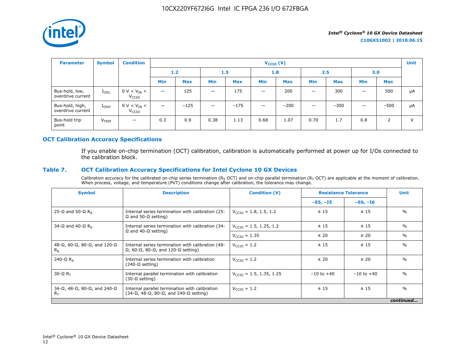

| <b>Parameter</b>                     | <b>Symbol</b>     | <b>Condition</b>                      |                          |            |                                 |            | $V_{\text{CCIO}}(V)$     |            |            |            |            |            | <b>Unit</b> |
|--------------------------------------|-------------------|---------------------------------------|--------------------------|------------|---------------------------------|------------|--------------------------|------------|------------|------------|------------|------------|-------------|
|                                      |                   |                                       | 1.2                      |            | 1.5                             |            | 1.8                      |            | 2.5        |            | 3.0        |            |             |
|                                      |                   |                                       | <b>Min</b>               | <b>Max</b> | <b>Min</b>                      | <b>Max</b> | Min                      | <b>Max</b> | <b>Min</b> | <b>Max</b> | <b>Min</b> | <b>Max</b> |             |
| Bus-hold, low,<br>overdrive current  | $I_{ODL}$         | $0 V < V_{IN} <$<br>V <sub>CCIO</sub> | $\overline{\phantom{0}}$ | 125        |                                 | 175        | $\overline{\phantom{m}}$ | 200        |            | 300        |            | 500        | μA          |
| Bus-hold, high,<br>overdrive current | $I_{ODH}$         | $0 V < V_{IN} <$<br>V <sub>CCIO</sub> | —                        | $-125$     | $\hspace{0.1mm}-\hspace{0.1mm}$ | $-175$     | $\overline{\phantom{m}}$ | $-200$     |            | $-300$     | -          | $-500$     | μA          |
| Bus-hold trip<br>point               | V <sub>TRIP</sub> | $\overline{\phantom{0}}$              | 0.3                      | 0.9        | 0.38                            | 1.13       | 0.68                     | 1.07       | 0.70       | 1.7        | 0.8        | 2          | $\vee$      |

## **OCT Calibration Accuracy Specifications**

If you enable on-chip termination (OCT) calibration, calibration is automatically performed at power up for I/Os connected to the calibration block.

## **Table 7. OCT Calibration Accuracy Specifications for Intel Cyclone 10 GX Devices**

Calibration accuracy for the calibrated on-chip series termination ( $R_S$  OCT) and on-chip parallel termination ( $R_T$  OCT) are applicable at the moment of calibration. When process, voltage, and temperature (PVT) conditions change after calibration, the tolerance may change.

| <b>Symbol</b>                                                          | <b>Description</b>                                                                                                       | <b>Condition (V)</b>                | <b>Resistance Tolerance</b> |                | <b>Unit</b>   |
|------------------------------------------------------------------------|--------------------------------------------------------------------------------------------------------------------------|-------------------------------------|-----------------------------|----------------|---------------|
|                                                                        |                                                                                                                          |                                     | $-E5, -I5$                  | $-E6, -I6$     |               |
| 25-Ω and 50-Ω R <sub>s</sub>                                           | Internal series termination with calibration (25-<br>$\Omega$ and 50- $\Omega$ setting)                                  | $V_{\text{CCTO}} = 1.8, 1.5, 1.2$   | ± 15                        | ±15            | $\frac{0}{0}$ |
| 34-Ω and 40-Ω R <sub>s</sub>                                           | Internal series termination with calibration (34-                                                                        | $V_{\text{CCIO}} = 1.5, 1.25, 1.2$  | ± 15                        | ±15            | $\%$          |
|                                                                        | $\Omega$ and 40- $\Omega$ setting)                                                                                       | $V_{\text{CCIO}} = 1.35$            | ± 20                        | ± 20           | $\%$          |
| $48-\Omega$ , 60- $\Omega$ , 80- $\Omega$ , and 120- $\Omega$<br>$R_S$ | Internal series termination with calibration (48-<br>$\Omega$ , 60- $\Omega$ , 80- $\Omega$ , and 120- $\Omega$ setting) | $V_{\text{CCIO}} = 1.2$             | ±15                         | ±15            | $\frac{0}{0}$ |
| 240- $\Omega$ R <sub>s</sub>                                           | Internal series termination with calibration<br>$(240-\Omega \text{ setting})$                                           | $V_{\text{CTO}} = 1.2$              | ±20                         | ± 20           | $\frac{0}{0}$ |
| $30 - \Omega R$                                                        | Internal parallel termination with calibration<br>$(30-\Omega \text{ setting})$                                          | $V_{\text{CCIO}} = 1.5, 1.35, 1.25$ | $-10$ to $+40$              | $-10$ to $+40$ | $\frac{0}{0}$ |
| $34-\Omega$ , $48-\Omega$ , $80-\Omega$ , and $240-\Omega$<br>$R_T$    | Internal parallel termination with calibration<br>$(34-\Omega, 48-\Omega, 80-\Omega,$ and $240-\Omega$ setting)          | $V_{\text{CCIO}} = 1.2$             | ± 15                        | ±15            | $\frac{0}{0}$ |
|                                                                        |                                                                                                                          |                                     |                             |                | continued     |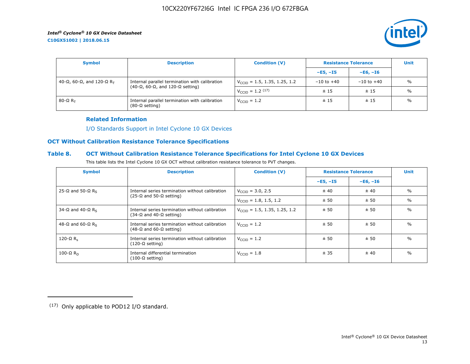**C10GX51002 | 2018.06.15**



| <b>Symbol</b>               | <b>Description</b>                                                                                    | <b>Condition (V)</b>                     | <b>Resistance Tolerance</b> | <b>Unit</b>    |               |
|-----------------------------|-------------------------------------------------------------------------------------------------------|------------------------------------------|-----------------------------|----------------|---------------|
|                             |                                                                                                       |                                          | $-E5, -15$                  | $-E6, -I6$     |               |
| 40-Ω, 60-Ω, and 120-Ω $R_T$ | Internal parallel termination with calibration<br>$(40-\Omega, 60-\Omega,$ and 120- $\Omega$ setting) | $V_{\text{CCIO}} = 1.5, 1.35, 1.25, 1.2$ | $-10$ to $+40$              | $-10$ to $+40$ | $\frac{0}{0}$ |
|                             |                                                                                                       | $V_{\text{CCIO}} = 1.2 \, (17)$          | ±15                         | ±15            | $\frac{0}{0}$ |
| 80-Ω $R_{\rm T}$            | Internal parallel termination with calibration<br>$(80-\Omega \text{ setting})$                       | $V_{\text{CCIO}} = 1.2$                  | ±15                         | ±15            | $\frac{0}{0}$ |

#### **Related Information**

[I/O Standards Support in Intel Cyclone 10 GX Devices](https://www.altera.com/documentation/vua1487061384661.html#ofz1487753759953)

## **OCT Without Calibration Resistance Tolerance Specifications**

## **Table 8. OCT Without Calibration Resistance Tolerance Specifications for Intel Cyclone 10 GX Devices**

| This table lists the Intel Cyclone 10 GX OCT without calibration resistance tolerance to PVT changes. |  |
|-------------------------------------------------------------------------------------------------------|--|
|-------------------------------------------------------------------------------------------------------|--|

| <b>Symbol</b>                | <b>Description</b>                                                                         | <b>Condition (V)</b>                     | <b>Resistance Tolerance</b> | <b>Unit</b> |               |
|------------------------------|--------------------------------------------------------------------------------------------|------------------------------------------|-----------------------------|-------------|---------------|
|                              |                                                                                            |                                          | $-E5, -15$                  | $-E6, -I6$  |               |
| 25-Ω and 50-Ω R <sub>s</sub> | Internal series termination without calibration                                            | $V_{\text{CTO}} = 3.0, 2.5$              | ± 40                        | ± 40        | $\%$          |
|                              | $(25-\Omega)$ and $50-\Omega$ setting)                                                     | $V_{\text{CCIO}} = 1.8, 1.5, 1.2$        | ± 50                        | ± 50        | $\%$          |
| 34-Ω and 40-Ω R <sub>s</sub> | Internal series termination without calibration<br>(34-Ω and 40-Ω setting)                 | $V_{\text{CCIO}} = 1.5, 1.35, 1.25, 1.2$ | ± 50                        | ± 50        | $\frac{0}{0}$ |
| 48-Ω and 60-Ω R <sub>s</sub> | Internal series termination without calibration<br>$(48-\Omega)$ and 60- $\Omega$ setting) | $V_{\text{CTO}} = 1.2$                   | ±50                         | ± 50        | $\frac{0}{0}$ |
| 120-Ω $R_s$                  | Internal series termination without calibration<br>(120-Ω setting)                         | $V_{\text{CGI}} = 1.2$                   | ± 50                        | ± 50        | $\frac{0}{0}$ |
| 100-Ω $R_D$                  | Internal differential termination<br>(100-Ω setting)                                       | $V_{\text{CCIO}} = 1.8$                  | ± 35                        | ± 40        | $\frac{0}{0}$ |

<sup>(17)</sup> Only applicable to POD12 I/O standard.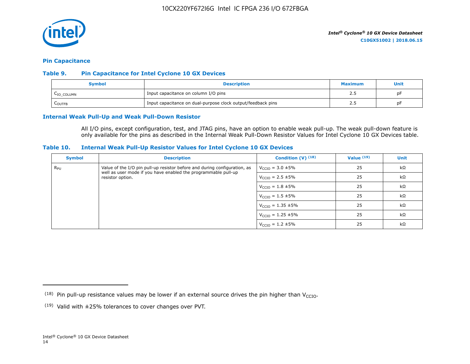

#### **Pin Capacitance**

### **Table 9. Pin Capacitance for Intel Cyclone 10 GX Devices**

| Svmbol     | <b>Description</b>                                           | Maximum | <b>Unit</b> |
|------------|--------------------------------------------------------------|---------|-------------|
| LIO COLUMN | Input capacitance on column I/O pins                         |         | рF          |
| LOUTFB     | Input capacitance on dual-purpose clock output/feedback pins |         | Dŀ          |

#### **Internal Weak Pull-Up and Weak Pull-Down Resistor**

All I/O pins, except configuration, test, and JTAG pins, have an option to enable weak pull-up. The weak pull-down feature is only available for the pins as described in the Internal Weak Pull-Down Resistor Values for Intel Cyclone 10 GX Devices table.

#### **Table 10. Internal Weak Pull-Up Resistor Values for Intel Cyclone 10 GX Devices**

| <b>Symbol</b> | <b>Description</b>                                                                                                                          | Condition $(V)$ $(18)$           | Value $(19)$ | <b>Unit</b> |
|---------------|---------------------------------------------------------------------------------------------------------------------------------------------|----------------------------------|--------------|-------------|
| $R_{\rm PU}$  | Value of the I/O pin pull-up resistor before and during configuration, as<br>well as user mode if you have enabled the programmable pull-up | $V_{\text{CCIO}} = 3.0 \pm 5\%$  | 25           | $k\Omega$   |
|               | resistor option.                                                                                                                            | $V_{\text{CCIO}} = 2.5 \pm 5\%$  | 25           | $k\Omega$   |
|               |                                                                                                                                             | $V_{\text{CCIO}} = 1.8 \pm 5\%$  | 25           | $k\Omega$   |
|               |                                                                                                                                             | $V_{\text{CCIO}} = 1.5 \pm 5\%$  | 25           | $k\Omega$   |
|               |                                                                                                                                             | $V_{\text{CCIO}} = 1.35 \pm 5\%$ | 25           | $k\Omega$   |
|               |                                                                                                                                             | $V_{\text{CCIO}} = 1.25 \pm 5\%$ | 25           | kΩ          |
|               |                                                                                                                                             | $V_{\text{CCIO}} = 1.2 \pm 5\%$  | 25           | $k\Omega$   |

<sup>(18)</sup> Pin pull-up resistance values may be lower if an external source drives the pin higher than  $V_{\text{CCIO}}$ .

 $(19)$  Valid with  $\pm 25\%$  tolerances to cover changes over PVT.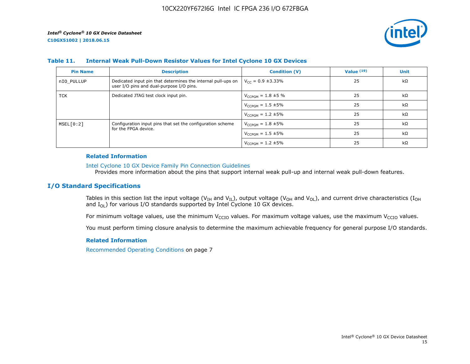

#### **Table 11. Internal Weak Pull-Down Resistor Values for Intel Cyclone 10 GX Devices**

| <b>Pin Name</b> | <b>Description</b>                                                                                       | <b>Condition (V)</b>       | Value $(19)$ | <b>Unit</b> |
|-----------------|----------------------------------------------------------------------------------------------------------|----------------------------|--------------|-------------|
| nIO PULLUP      | Dedicated input pin that determines the internal pull-ups on<br>user I/O pins and dual-purpose I/O pins. | $V_{cc} = 0.9 \pm 3.33\%$  | 25           | $k\Omega$   |
| TCK             | Dedicated JTAG test clock input pin.                                                                     | $V_{CCPGM} = 1.8 \pm 5 \%$ | 25           | $k\Omega$   |
|                 |                                                                                                          | $V_{CCPGM} = 1.5 \pm 5\%$  | 25           | $k\Omega$   |
|                 |                                                                                                          | $V_{CCPGM} = 1.2 \pm 5\%$  | 25           | kΩ          |
| MSEL[0:2]       | Configuration input pins that set the configuration scheme                                               | $V_{CCPGM} = 1.8 \pm 5\%$  | 25           | $k\Omega$   |
|                 | for the FPGA device.                                                                                     | $V_{CCPGM} = 1.5 \pm 5\%$  | 25           | $k\Omega$   |
|                 |                                                                                                          | $V_{CCPGM} = 1.2 \pm 5\%$  | 25           | $k\Omega$   |

#### **Related Information**

#### [Intel Cyclone 10 GX Device Family Pin Connection Guidelines](https://www.altera.com/documentation/osf1485840198234.html#hjb1485915147847)

Provides more information about the pins that support internal weak pull-up and internal weak pull-down features.

## **I/O Standard Specifications**

Tables in this section list the input voltage (V<sub>IH</sub> and V<sub>IL</sub>), output voltage (V<sub>OH</sub> and V<sub>OL</sub>), and current drive characteristics (I<sub>OH</sub> and  $I_{OL}$ ) for various I/O standards supported by Intel Cyclone 10 GX devices.

For minimum voltage values, use the minimum V<sub>CCIO</sub> values. For maximum voltage values, use the maximum V<sub>CCIO</sub> values.

You must perform timing closure analysis to determine the maximum achievable frequency for general purpose I/O standards.

## **Related Information**

Recommended Operating Conditions on page 7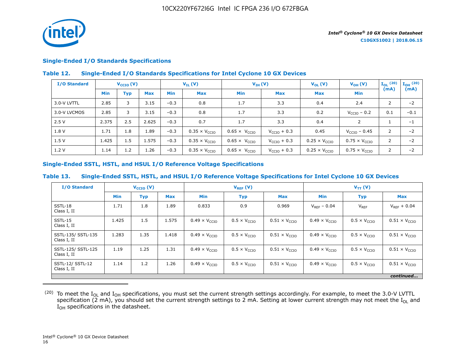

## **Single-Ended I/O Standards Specifications**

## **Table 12. Single-Ended I/O Standards Specifications for Intel Cyclone 10 GX Devices**

| I/O Standard |       | $V_{\text{CCIO}}(V)$ |            | $V_{IH} (V)$<br>$V_{IL}(V)$ |                               |                               |                         |                               |                               | $V_{OL}(V)$    | $V_{OH} (V)$ | $I_{OL}$ (20) | $\mathbf{I}_{\mathbf{OH}}$ (20) |
|--------------|-------|----------------------|------------|-----------------------------|-------------------------------|-------------------------------|-------------------------|-------------------------------|-------------------------------|----------------|--------------|---------------|---------------------------------|
|              | Min   | Typ                  | <b>Max</b> | <b>Min</b>                  | Max                           | Min                           | <b>Max</b>              | <b>Max</b>                    | Min                           | (mA)           | (mA)         |               |                                 |
| 3.0-V LVTTL  | 2.85  | 3                    | 3.15       | $-0.3$                      | 0.8                           | 1.7                           | 3.3                     | 0.4                           | 2.4                           | 2              | $-2$         |               |                                 |
| 3.0-V LVCMOS | 2.85  | 3                    | 3.15       | $-0.3$                      | 0.8                           | 1.7                           | 3.3                     | 0.2                           | $V_{\text{CCIO}}$ – 0.2       | 0.1            | $-0.1$       |               |                                 |
| 2.5V         | 2.375 | 2.5                  | 2.625      | $-0.3$                      | 0.7                           | 1.7                           | 3.3                     | 0.4                           | 2                             |                | $-1$         |               |                                 |
| 1.8 V        | 1.71  | 1.8                  | 1.89       | $-0.3$                      | $0.35 \times V_{\text{CCIO}}$ | $0.65 \times V_{CCIO}$        | $V_{\text{CCIO}} + 0.3$ | 0.45                          | $V_{CCIO}$ – 0.45             | 2              | $-2$         |               |                                 |
| 1.5V         | 1.425 | 1.5                  | 1.575      | $-0.3$                      | $0.35 \times V_{CCIO}$        | $0.65 \times V_{CCIO}$        | $V_{\text{CCIO}} + 0.3$ | $0.25 \times V_{CCIO}$        | $0.75 \times V_{CCIO}$        | 2              | $-2$         |               |                                 |
| 1.2 V        | 1.14  | 1.2                  | 1.26       | $-0.3$                      | $0.35 \times V_{\text{CCIO}}$ | $0.65 \times V_{\text{CCIO}}$ | $V_{\text{CCIO}} + 0.3$ | $0.25 \times V_{\text{CCIO}}$ | $0.75 \times V_{\text{CCIO}}$ | $\overline{2}$ | $-2$         |               |                                 |

## **Single-Ended SSTL, HSTL, and HSUL I/O Reference Voltage Specifications**

## **Table 13. Single-Ended SSTL, HSTL, and HSUL I/O Reference Voltage Specifications for Intel Cyclone 10 GX Devices**

| <b>I/O Standard</b>               |            | $V_{\text{CCIO}}(V)$ |            |                               | $V_{REF}(V)$                 |                               | $V_{TT} (V)$                  |                              |                               |
|-----------------------------------|------------|----------------------|------------|-------------------------------|------------------------------|-------------------------------|-------------------------------|------------------------------|-------------------------------|
|                                   | <b>Min</b> | <b>Typ</b>           | <b>Max</b> | <b>Min</b>                    | <b>Typ</b>                   | <b>Max</b>                    | <b>Min</b>                    | <b>Typ</b>                   | <b>Max</b>                    |
| SSTL-18<br>Class I, II            | 1.71       | 1.8                  | 1.89       | 0.833                         | 0.9                          | 0.969                         | $V_{RFF}$ – 0.04              | $V_{REF}$                    | $V_{RFF}$ + 0.04              |
| SSTL-15<br>Class I, II            | 1.425      | 1.5                  | 1.575      | $0.49 \times V_{CCIO}$        | $0.5 \times V_{\text{CCIO}}$ | $0.51 \times V_{CCIO}$        | $0.49 \times V_{CCIO}$        | $0.5 \times V_{\text{CCIO}}$ | $0.51 \times V_{\text{CCIO}}$ |
| SSTL-135/ SSTL-135<br>Class I, II | 1.283      | 1.35                 | 1.418      | $0.49 \times V_{\text{CCIO}}$ | $0.5 \times V_{\text{CCIO}}$ | $0.51 \times V_{\text{CCIO}}$ | $0.49 \times V_{\text{CCIO}}$ | $0.5 \times V_{\text{CCIO}}$ | $0.51 \times V_{\text{CCIO}}$ |
| SSTL-125/ SSTL-125<br>Class I, II | 1.19       | 1.25                 | 1.31       | $0.49 \times V_{\text{CCIO}}$ | $0.5 \times V_{\text{CCIO}}$ | $0.51 \times V_{\text{CCIO}}$ | $0.49 \times V_{CCIO}$        | $0.5 \times V_{\text{CCIO}}$ | $0.51 \times V_{\text{CCIO}}$ |
| SSTL-12/ SSTL-12<br>Class I, II   | 1.14       | 1.2                  | 1.26       | $0.49 \times V_{CCIO}$        | $0.5 \times V_{\text{CCIO}}$ | $0.51 \times V_{\text{CCIO}}$ | $0.49 \times V_{\text{CCIO}}$ | $0.5 \times V_{\text{CCIO}}$ | $0.51 \times V_{\text{CCIO}}$ |
|                                   |            |                      |            |                               |                              |                               |                               |                              | continued                     |

 $^{(20)}$  To meet the I<sub>OL</sub> and I<sub>OH</sub> specifications, you must set the current strength settings accordingly. For example, to meet the 3.0-V LVTTL specification (2 mA), you should set the current strength settings to 2 mA. Setting at lower current strength may not meet the I<sub>OL</sub> and I<sub>OH</sub> specifications in the datasheet.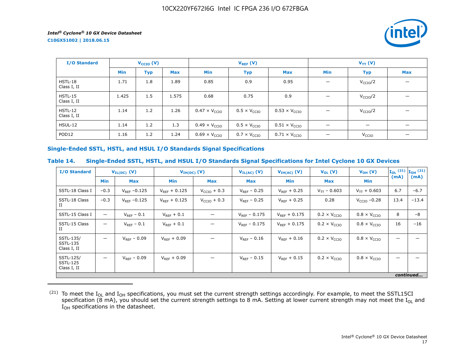**C10GX51002 | 2018.06.15**



| I/O Standard                  |            | $V_{\text{CCIO}}(V)$ |            | $V_{REF}(V)$                  |                              |                               | $V_{TT} (V)$                   |                      |                          |
|-------------------------------|------------|----------------------|------------|-------------------------------|------------------------------|-------------------------------|--------------------------------|----------------------|--------------------------|
|                               | <b>Min</b> | <b>Typ</b>           | <b>Max</b> | Min                           | <b>Typ</b>                   | <b>Max</b>                    | Min                            | <b>Typ</b>           | <b>Max</b>               |
| HSTL-18<br>Class I, II        | 1.71       | 1.8                  | 1.89       | 0.85                          | 0.9                          | 0.95                          | $\overline{\phantom{0}}$       | V <sub>CCIO</sub> /2 |                          |
| <b>HSTL-15</b><br>Class I, II | 1.425      | 1.5                  | 1.575      | 0.68                          | 0.75                         | 0.9                           | $\overline{\phantom{0}}$       | V <sub>CCIO</sub> /2 |                          |
| $HSTL-12$<br>Class I, II      | 1.14       | 1.2                  | 1.26       | $0.47 \times V_{CCIO}$        | $0.5 \times V_{\text{CCIO}}$ | $0.53 \times V_{CCIO}$        |                                | V <sub>CCIO</sub> /2 |                          |
| <b>HSUL-12</b>                | 1.14       | 1.2                  | 1.3        | $0.49 \times V_{\text{CCIO}}$ | $0.5 \times V_{\text{CCIO}}$ | $0.51 \times V_{\text{CCIO}}$ |                                |                      |                          |
| POD <sub>12</sub>             | 1.16       | 1.2                  | 1.24       | $0.69 \times V_{CCIO}$        | $0.7 \times V_{\text{CCIO}}$ | $0.71 \times V_{\text{CCIO}}$ | $\qquad \qquad \longleftarrow$ | V <sub>CCIO</sub>    | $\overline{\phantom{0}}$ |

## **Single-Ended SSTL, HSTL, and HSUL I/O Standards Signal Specifications**

## **Table 14. Single-Ended SSTL, HSTL, and HSUL I/O Standards Signal Specifications for Intel Cyclone 10 GX Devices**

| <b>I/O Standard</b>                         |                          | $V_{IL(DC)}$ (V)  | $V_{IH(DC)}$ (V)  |                         | $V_{IL(AC)}$ (V)  | $V_{IH(AC)}$ (V)  | $V_{OL}(V)$                  | $V_{OH} (V)$                 |      | $\mathbf{I}_{OL}$ (21) $\mathbf{I}_{OH}$ (21) |
|---------------------------------------------|--------------------------|-------------------|-------------------|-------------------------|-------------------|-------------------|------------------------------|------------------------------|------|-----------------------------------------------|
|                                             | <b>Min</b>               | <b>Max</b>        | <b>Min</b>        | Max                     | Max               | Min               | <b>Max</b>                   | Min                          | (mA) | (mA)                                          |
| SSTL-18 Class I                             | $-0.3$                   | $V_{RFF} - 0.125$ | $V_{RFF}$ + 0.125 | $V_{\text{CCIO}} + 0.3$ | $V_{RFF}$ – 0.25  | $V_{RFF}$ + 0.25  | $V_{TT}$ – 0.603             | $V_{TT}$ + 0.603             | 6.7  | $-6.7$                                        |
| SSTL-18 Class<br>П                          | $-0.3$                   | $V_{REF}$ -0.125  | $V_{RFF} + 0.125$ | $V_{CCIO}$ + 0.3        | $V_{REF}$ – 0.25  | $V_{RFF}$ + 0.25  | 0.28                         | $VCCIO -0.28$                | 13.4 | $-13.4$                                       |
| SSTL-15 Class I                             | $\overline{\phantom{0}}$ | $V_{REF}$ – 0.1   | $V_{REF}$ + 0.1   |                         | $V_{RFF} - 0.175$ | $V_{RFF}$ + 0.175 | $0.2 \times V_{\text{CCIO}}$ | $0.8 \times V_{\text{CCIO}}$ | 8    | $-8$                                          |
| SSTL-15 Class<br>П                          | $\overline{\phantom{0}}$ | $V_{RFF}$ – 0.1   | $V_{REF} + 0.1$   |                         | $V_{RFF}$ – 0.175 | $V_{RFF}$ + 0.175 | $0.2 \times V_{\text{CCIO}}$ | $0.8 \times V_{\text{CCIO}}$ | 16   | $-16$                                         |
| SSTL-135/<br><b>SSTL-135</b><br>Class I, II | $\overline{\phantom{0}}$ | $V_{REF} - 0.09$  | $V_{RFF} + 0.09$  |                         | $V_{RFF} - 0.16$  | $V_{RFF}$ + 0.16  | $0.2 \times V_{\text{CCIO}}$ | $0.8 \times V_{\text{CCIO}}$ |      |                                               |
| SSTL-125/<br><b>SSTL-125</b><br>Class I, II | —                        | $V_{RFF}$ – 0.09  | $V_{RFF}$ + 0.09  |                         | $V_{RFF}$ – 0.15  | $V_{RFF}$ + 0.15  | $0.2 \times V_{\text{CCIO}}$ | $0.8 \times V_{\text{CCIO}}$ |      |                                               |
|                                             |                          |                   |                   |                         |                   |                   |                              |                              |      | continued                                     |

 $^{(21)}$  To meet the I<sub>OL</sub> and I<sub>OH</sub> specifications, you must set the current strength settings accordingly. For example, to meet the SSTL15CI specification (8 mA), you should set the current strength settings to 8 mA. Setting at lower current strength may not meet the I<sub>OL</sub> and  $I_{OH}$  specifications in the datasheet.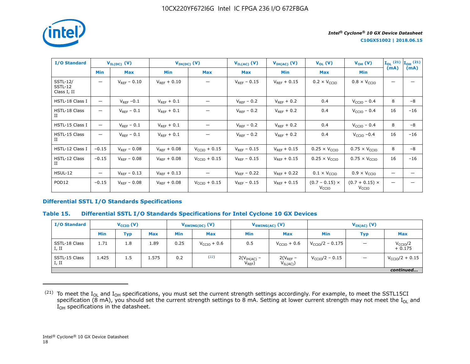

 $\rm I/O$  Standard  $\rm V_{II(DC)}$  (V)  $\rm V_{II(DC)}$  (V)  $\rm V_{II(AC)}$  (V)  $\rm V_{II(AC)}$  (V)  $\rm V_{VH(AC)}$  (V)  $\rm V_{OL}$  (V)  $\rm V_{OL}$  (V)  $\rm V_{OH}$  (V)  $\rm I_{OL}$  (21)  $I_{OL}$ <sup>(21)</sup><br>(mA) **IOH (21) (mA) Min Max Min Max Max Min Max Min** SSTL-12/ SSTL-12 Class I, II  $\vert$  V<sub>REF</sub> – 0.10  $\vert$  V<sub>REF</sub> + 0.10  $\vert$   $\vert$  V<sub>REF</sub> – 0.15  $\vert$  V<sub>REF</sub> + 0.15  $\vert$  0.2 × V<sub>CCIO</sub>  $\vert$  0.8 × V<sub>CCIO</sub>  $\vert$   $\vert$   $-$ HSTL-18 Class I — VREF –0.1 VREF + 0.1 — VREF – 0.2 VREF + 0.2 0.4 VCCIO – 0.4 8 –8 HSTL-18 Class II — | V<sub>REF</sub> – 0.1 | V<sub>REF</sub> + 0.1 | — | V<sub>REF</sub> – 0.2 | V<sub>REF</sub> + 0.2 | 0.4 | V<sub>CCIO</sub> – 0.4 | 16 | –16 HSTL-15 Class I — VREF – 0.1 VREF + 0.1 — VREF – 0.2 VREF + 0.2 0.4 VCCIO – 0.4 8 –8 HSTL-15 Class II — | V<sub>REF</sub> – 0.1 | V<sub>REF</sub> + 0.1 | | V<sub>REF</sub> – 0.2 | V<sub>REF</sub> + 0.2 | 0.4 | V<sub>CCIO</sub> –0.4 | 16 | –16 HSTL-12 Class I –0.15 VREF – 0.08 VREF + 0.08 VCCIO + 0.15 VREF – 0.15 VREF + 0.15 0.25 × VCCIO 0.75 × VCCIO 8 –8 HSTL-12 Class II –0.15 | V $_{\sf REF}$ –0.08 | V $_{\sf REF}$ +0.08 | V $_{\sf CCIO}$  + 0.15 | V $_{\sf REF}$ –0.15 | V $_{\sf REF}$ +0.15 | 0.25 × V $_{\sf CCIO}$  | 0.75 × V $_{\sf CCIO}$  | 16 | –16 <code>HSUL-12  $|$   $|$   $\rm V_{Ref}$  – 0.13  $|$   $\rm V_{REF}$  + 0.13  $|$   $|$   $\rm V_{REF}$  – 0.22  $|$   $\rm V_{REF}$  + 0.22  $|$   $\rm 0.1 \times V_{CCI0}$   $|$   $\rm 0.9 \times V_{CCI0}$   $|$   $|$   $-$ </code> POD12 –0.15 VREF – 0.08 VREF + 0.08 VCCIO + 0.15 VREF – 0.15 VREF + 0.15 (0.7 – 0.15) × V<sub>CCIO</sub>  $(0.7 + 0.15) \times$ V<sub>CCIO</sub> — —

#### **Differential SSTL I/O Standards Specifications**

## **Table 15. Differential SSTL I/O Standards Specifications for Intel Cyclone 10 GX Devices**

| I/O Standard           | $V_{\text{CCIO}}(V)$ |            |            | $V_{SWING(DC)}$ (V) |               | $V_{SWING(AC)}$ (V)          |                               | $V_{IX(AC)}$ (V)            |            |                                  |
|------------------------|----------------------|------------|------------|---------------------|---------------|------------------------------|-------------------------------|-----------------------------|------------|----------------------------------|
|                        | <b>Min</b>           | <b>Typ</b> | <b>Max</b> | <b>Min</b>          | <b>Max</b>    | <b>Min</b>                   | <b>Max</b>                    | <b>Min</b>                  | <b>Typ</b> | <b>Max</b>                       |
| SSTL-18 Class<br>I, II | 1.71                 | 1.8        | 1.89       | 0.25                | $VCCIO + 0.6$ | 0.5                          | $V_{\text{CCIO}} + 0.6$       | $V_{\text{CCIO}}/2 - 0.175$ |            | V <sub>CCIO</sub> /2<br>$+0.175$ |
| SSTL-15 Class<br>I, II | 1.425                | 1.5        | 1.575      | 0.2                 | (22)          | $2(VIH(AC) -$<br>$V_{REF}$ ) | $2(V_{REF}$ –<br>$V_{IL(AC)}$ | $V_{\rm CCIO}/2 - 0.15$     |            | $V_{\text{CCIO}}/2 + 0.15$       |
|                        | continued            |            |            |                     |               |                              |                               |                             |            |                                  |

 $(21)$  To meet the I<sub>OL</sub> and I<sub>OH</sub> specifications, you must set the current strength settings accordingly. For example, to meet the SSTL15CI specification (8 mA), you should set the current strength settings to 8 mA. Setting at lower current strength may not meet the I<sub>OL</sub> and I<sub>OH</sub> specifications in the datasheet.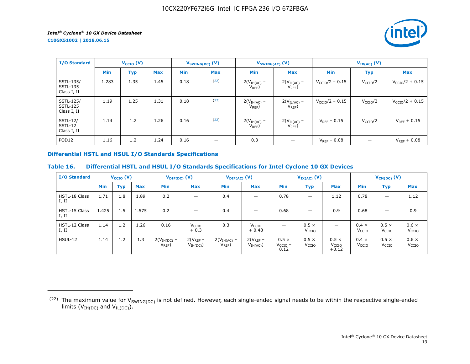*intel* 

**C10GX51002 | 2018.06.15**

| <b>I/O Standard</b>                         |       | $V_{\text{CCIO}}(V)$ |            |            | $V_{SWING(DC)}$ (V)            | $V_{SWING(AC)}$ (V)          |                                         | $V_{IX(AC)}$ (V)        |                      |                         |  |
|---------------------------------------------|-------|----------------------|------------|------------|--------------------------------|------------------------------|-----------------------------------------|-------------------------|----------------------|-------------------------|--|
|                                             | Min   | <b>Typ</b>           | <b>Max</b> | <b>Min</b> | <b>Max</b>                     | <b>Min</b>                   | <b>Max</b>                              | <b>Min</b>              | <b>Typ</b>           | <b>Max</b>              |  |
| SSTL-135/<br><b>SSTL-135</b><br>Class I, II | 1.283 | 1.35                 | 1.45       | 0.18       | (22)                           | $2(VIH(AC) -$<br>$V_{REF}$ ) | $2(V_{\text{IL(AC)}} - V_{\text{REF}})$ | $V_{\rm CCIO}/2 - 0.15$ | V <sub>CCIO</sub> /2 | $V_{\rm CCIO}/2 + 0.15$ |  |
| SSTL-125/<br><b>SSTL-125</b><br>Class I, II | 1.19  | 1.25                 | 1.31       | 0.18       | (22)                           | $2(VIH(AC) -$<br>$V_{REF}$   | $2(V_{IL(AC)}$ –<br>$V_{REF}$ )         | $V_{\rm CCIO}/2 - 0.15$ | V <sub>CCIO</sub> /2 | $V_{CCIO}/2 + 0.15$     |  |
| <b>SSTL-12/</b><br>SSTL-12<br>Class I, II   | 1.14  | 1.2                  | 1.26       | 0.16       | (22)                           | $2(VIH(AC) -$<br>$V_{REF}$   | $2(V_{IL(AC)}$ -<br>$V_{REF}$ )         | $V_{RFF}$ – 0.15        | V <sub>CCIO</sub> /2 | $V_{RFF}$ + 0.15        |  |
| POD <sub>12</sub>                           | 1.16  | 1.2                  | 1.24       | 0.16       | $\qquad \qquad \longleftarrow$ | 0.3                          |                                         | $V_{REF}$ – 0.08        |                      | $V_{RFF} + 0.08$        |  |

## **Differential HSTL and HSUL I/O Standards Specifications**

## **Table 16. Differential HSTL and HSUL I/O Standards Specifications for Intel Cyclone 10 GX Devices**

| <b>I/O Standard</b>           |            | $V_{\text{CCIO}}(V)$ |            | $V_{\text{DIF(DC)}}(V)$      |                              | $V_{\text{DIF(AC)}}$ (V)   |                              |                                      | $V_{IX(AC)}$ (V)                  |                                              | $V_{CM(DC)}(V)$                   |                                   |                                   |
|-------------------------------|------------|----------------------|------------|------------------------------|------------------------------|----------------------------|------------------------------|--------------------------------------|-----------------------------------|----------------------------------------------|-----------------------------------|-----------------------------------|-----------------------------------|
|                               | <b>Min</b> | <b>Typ</b>           | <b>Max</b> | Min                          | <b>Max</b>                   | <b>Min</b>                 | <b>Max</b>                   | <b>Min</b>                           | <b>Typ</b>                        | <b>Max</b>                                   | <b>Min</b>                        | <b>Typ</b>                        | Max                               |
| <b>HSTL-18 Class</b><br>I, II | 1.71       | 1.8                  | 1.89       | 0.2                          | -                            | 0.4                        | —                            | 0.78                                 |                                   | 1.12                                         | 0.78                              | $\overline{\phantom{m}}$          | 1.12                              |
| HSTL-15 Class<br>I, II        | 1.425      | 1.5                  | 1.575      | 0.2                          |                              | 0.4                        |                              | 0.68                                 | –                                 | 0.9                                          | 0.68                              | -                                 | 0.9                               |
| HSTL-12 Class<br>I, II        | 1.14       | 1.2                  | 1.26       | 0.16                         | V <sub>CCIO</sub><br>$+0.3$  | 0.3                        | V <sub>CCIO</sub><br>$+0.48$ |                                      | $0.5 \times$<br>V <sub>CCIO</sub> | -                                            | $0.4 \times$<br>V <sub>CCIO</sub> | $0.5 \times$<br>V <sub>CCIO</sub> | $0.6 \times$<br>V <sub>CCIO</sub> |
| <b>HSUL-12</b>                | 1.14       | 1.2                  | 1.3        | $2(VIH(DC)$ –<br>$V_{REF}$ ) | $2(V_{REF}-$<br>$V_{IH(DC)}$ | $2(VIH(AC)$ –<br>$V_{REF}$ | $2(V_{REF}-$<br>$V_{IH(AC)}$ | $0.5 \times$<br>$V_{CCIO}$ –<br>0.12 | $0.5 \times$<br>V <sub>CCIO</sub> | $0.5 \times$<br>V <sub>CCIO</sub><br>$+0.12$ | $0.4 \times$<br>V <sub>CCIO</sub> | $0.5 \times$<br>V <sub>CCIO</sub> | $0.6 \times$<br>V <sub>CCIO</sub> |

<sup>(22)</sup> The maximum value for  $V_{SWING(DC)}$  is not defined. However, each single-ended signal needs to be within the respective single-ended limits ( $V_{IH(DC)}$  and  $V_{IL(DC)}$ ).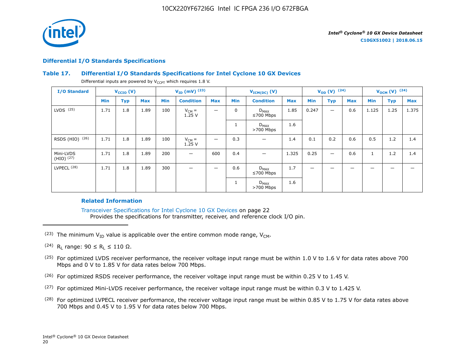

#### **Differential I/O Standards Specifications**

## **Table 17. Differential I/O Standards Specifications for Intel Cyclone 10 GX Devices**

Differential inputs are powered by  $V_{CCPT}$  which requires 1.8 V.

| <b>I/O Standard</b>         |      | $V_{\text{CCIO}}(V)$ |            |            | $V_{ID}$ (mV) $^{(23)}$ |            | $V_{ICM(DC)}(V)$ |                              | $V_{OD} (V)$ (24) |                          |                          | $V_{OCM}$ (V) $(24)$ |              |            |            |
|-----------------------------|------|----------------------|------------|------------|-------------------------|------------|------------------|------------------------------|-------------------|--------------------------|--------------------------|----------------------|--------------|------------|------------|
|                             | Min  | <b>Typ</b>           | <b>Max</b> | <b>Min</b> | <b>Condition</b>        | <b>Max</b> | Min              | <b>Condition</b>             | <b>Max</b>        | Min                      | <b>Typ</b>               | <b>Max</b>           | Min          | <b>Typ</b> | <b>Max</b> |
| $LVDS$ $(25)$               | 1.71 | 1.8                  | 1.89       | 100        | $V_{CM} =$<br>1.25V     | —          | $\mathbf 0$      | $D_{MAX}$<br>$\leq 700$ Mbps | 1.85              | 0.247                    |                          | 0.6                  | 1.125        | 1.25       | 1.375      |
|                             |      |                      |            |            |                         |            |                  | $D_{MAX}$<br>$>700$ Mbps     | 1.6               |                          |                          |                      |              |            |            |
| RSDS (HIO) (26)             | 1.71 | 1.8                  | 1.89       | 100        | $V_{CM} =$<br>1.25V     | —          | 0.3              |                              | 1.4               | 0.1                      | 0.2                      | 0.6                  | 0.5          | 1.2        | 1.4        |
| Mini-LVDS<br>$(HIO)$ $(27)$ | 1.71 | 1.8                  | 1.89       | 200        | —                       | 600        | 0.4              | -                            | 1.325             | 0.25                     | $\overline{\phantom{0}}$ | 0.6                  | $\mathbf{1}$ | 1.2        | 1.4        |
| LVPECL <sup>(28)</sup>      | 1.71 | 1.8                  | 1.89       | 300        | –                       | —          | 0.6              | $D_{MAX}$<br>$≤700$ Mbps     | 1.7               | $\overline{\phantom{m}}$ | -                        | -                    | -            | -          |            |
|                             |      |                      |            |            |                         |            |                  | $D_{MAX}$<br>$>700$ Mbps     | 1.6               |                          |                          |                      |              |            |            |

## **Related Information**

Transceiver Specifications for Intel Cyclone 10 GX Devices on page 22 Provides the specifications for transmitter, receiver, and reference clock I/O pin.

- (23) The minimum  $V_{ID}$  value is applicable over the entire common mode range,  $V_{CM}$ .
- (24) R<sub>L</sub> range:  $90 \le R_L \le 110 \Omega$ .
- <sup>(25)</sup> For optimized LVDS receiver performance, the receiver voltage input range must be within 1.0 V to 1.6 V for data rates above 700 Mbps and 0 V to 1.85 V for data rates below 700 Mbps.
- $(26)$  For optimized RSDS receiver performance, the receiver voltage input range must be within 0.25 V to 1.45 V.
- $(27)$  For optimized Mini-LVDS receiver performance, the receiver voltage input range must be within 0.3 V to 1.425 V.
- <sup>(28)</sup> For optimized LVPECL receiver performance, the receiver voltage input range must be within 0.85 V to 1.75 V for data rates above 700 Mbps and 0.45 V to 1.95 V for data rates below 700 Mbps.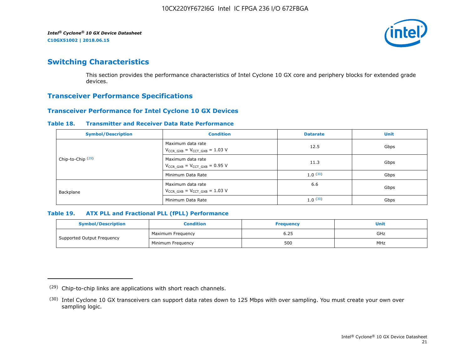

# **Switching Characteristics**

This section provides the performance characteristics of Intel Cyclone 10 GX core and periphery blocks for extended grade devices.

## **Transceiver Performance Specifications**

## **Transceiver Performance for Intel Cyclone 10 GX Devices**

#### **Table 18. Transmitter and Receiver Data Rate Performance**

| <b>Symbol/Description</b>    | <b>Condition</b>                                            | <b>Datarate</b> | <b>Unit</b> |
|------------------------------|-------------------------------------------------------------|-----------------|-------------|
|                              | Maximum data rate<br>$V_{CCR_GXB} = V_{CCT_GXB} = 1.03 V$   | 12.5            | Gbps        |
| Chip-to-Chip <sup>(29)</sup> | Maximum data rate<br>$V_{CCR_GXB} = V_{CCT_GXB} = 0.95 V$   | 11.3            | Gbps        |
|                              | Minimum Data Rate                                           | 1.0(30)         | Gbps        |
| Backplane                    | Maximum data rate<br>$V_{CCR}$ GXB = $V_{CCT}$ GXB = 1.03 V | 6.6             | Gbps        |
|                              | Minimum Data Rate                                           | 1.0(30)         | Gbps        |

## **Table 19. ATX PLL and Fractional PLL (fPLL) Performance**

| <b>Symbol/Description</b>  | Condition         | <b>Frequency</b> | <b>Unit</b> |
|----------------------------|-------------------|------------------|-------------|
|                            | Maximum Frequency | 6.25             | GHz         |
| Supported Output Frequency | Minimum Freguency | 500              | MHz         |

<sup>(29)</sup> Chip-to-chip links are applications with short reach channels.

<sup>(30)</sup> Intel Cyclone 10 GX transceivers can support data rates down to 125 Mbps with over sampling. You must create your own over sampling logic.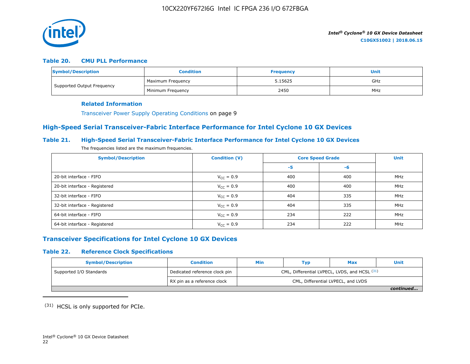

## **Table 20. CMU PLL Performance**

| Symbol/Description         | <b>Condition</b>  | <b>Frequency</b> | Unit |
|----------------------------|-------------------|------------------|------|
| Supported Output Frequency | Maximum Frequency | 5.15625          | GHz  |
|                            | Minimum Freguency | 2450             | MHz  |

#### **Related Information**

Transceiver Power Supply Operating Conditions on page 9

## **High-Speed Serial Transceiver-Fabric Interface Performance for Intel Cyclone 10 GX Devices**

## **Table 21. High-Speed Serial Transceiver-Fabric Interface Performance for Intel Cyclone 10 GX Devices**

The frequencies listed are the maximum frequencies.

| <b>Symbol/Description</b>     | <b>Condition (V)</b>  | <b>Core Speed Grade</b> |     | <b>Unit</b> |
|-------------------------------|-----------------------|-------------------------|-----|-------------|
|                               |                       | -5                      | -6  |             |
| 20-bit interface - FIFO       | $V_{CC} = 0.9$        | 400                     | 400 | MHz         |
| 20-bit interface - Registered | $V_{CC} = 0.9$        | 400                     | 400 | MHz         |
| 32-bit interface - FIFO       | $V_{CC} = 0.9$        | 404                     | 335 | MHz         |
| 32-bit interface - Registered | $V_{\text{CC}} = 0.9$ | 404                     | 335 | MHz         |
| 64-bit interface - FIFO       | $V_{CC} = 0.9$        | 234                     | 222 | MHz         |
| 64-bit interface - Registered | $V_{\text{CC}} = 0.9$ | 234                     | 222 | MHz         |

## **Transceiver Specifications for Intel Cyclone 10 GX Devices**

## **Table 22. Reference Clock Specifications**

| <b>Symbol/Description</b> | <b>Condition</b>              | Min                                           | Typ | <b>Max</b> | Unit      |  |
|---------------------------|-------------------------------|-----------------------------------------------|-----|------------|-----------|--|
| Supported I/O Standards   | Dedicated reference clock pin | CML, Differential LVPECL, LVDS, and HCSL (31) |     |            |           |  |
|                           | RX pin as a reference clock   | CML, Differential LVPECL, and LVDS            |     |            |           |  |
|                           |                               |                                               |     |            | continued |  |

(31) HCSL is only supported for PCIe.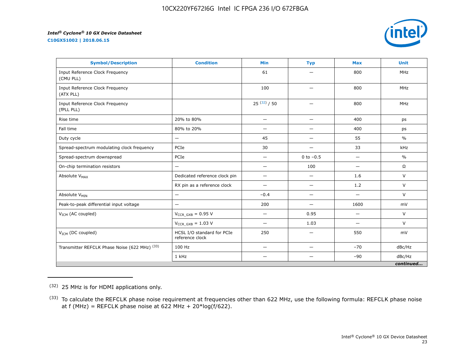**C10GX51002 | 2018.06.15**



| <b>Symbol/Description</b>                     | <b>Condition</b>                              | <b>Min</b>               | <b>Typ</b>               | <b>Max</b>               | <b>Unit</b>   |
|-----------------------------------------------|-----------------------------------------------|--------------------------|--------------------------|--------------------------|---------------|
| Input Reference Clock Frequency<br>(CMU PLL)  |                                               | 61                       |                          | 800                      | <b>MHz</b>    |
| Input Reference Clock Frequency<br>(ATX PLL)  |                                               | 100                      | —                        | 800                      | <b>MHz</b>    |
| Input Reference Clock Frequency<br>(fPLL PLL) |                                               | $25^{(32)}/50$           | $\overline{\phantom{0}}$ | 800                      | <b>MHz</b>    |
| Rise time                                     | 20% to 80%                                    | $\qquad \qquad -$        | —                        | 400                      | ps            |
| Fall time                                     | 80% to 20%                                    | $\overline{\phantom{0}}$ | —                        | 400                      | ps            |
| Duty cycle                                    | —                                             | 45                       | —                        | 55                       | $\frac{0}{0}$ |
| Spread-spectrum modulating clock frequency    | PCIe                                          | 30                       | —                        | 33                       | kHz           |
| Spread-spectrum downspread                    | PCIe                                          | —                        | 0 to $-0.5$              |                          | $\%$          |
| On-chip termination resistors                 | —                                             | $\overline{\phantom{0}}$ | 100                      | $\overline{\phantom{0}}$ | $\Omega$      |
| Absolute V <sub>MAX</sub>                     | Dedicated reference clock pin                 | $\qquad \qquad -$        | $\overline{\phantom{0}}$ | 1.6                      | V             |
|                                               | RX pin as a reference clock                   |                          | —                        | 1.2                      | $\vee$        |
| Absolute V <sub>MIN</sub>                     | —                                             | $-0.4$                   | —                        | $\overline{\phantom{0}}$ | $\vee$        |
| Peak-to-peak differential input voltage       | $\overline{\phantom{0}}$                      | 200                      | $\overline{\phantom{0}}$ | 1600                     | mV            |
| V <sub>ICM</sub> (AC coupled)                 | $V_{CCR_GXB} = 0.95 V$                        | $\qquad \qquad$          | 0.95                     | $\overline{\phantom{0}}$ | V             |
|                                               | $V_{CCR\ GXB} = 1.03 V$                       | —                        | 1.03                     | $\overline{\phantom{0}}$ | $\vee$        |
| $V_{ICM}$ (DC coupled)                        | HCSL I/O standard for PCIe<br>reference clock | 250                      | $\overline{\phantom{0}}$ | 550                      | mV            |
| Transmitter REFCLK Phase Noise (622 MHz) (33) | 100 Hz                                        | —                        | —                        | $-70$                    | dBc/Hz        |
|                                               | 1 kHz                                         |                          |                          | $-90$                    | dBc/Hz        |
|                                               |                                               |                          |                          |                          | continued     |

<sup>(32)</sup> 25 MHz is for HDMI applications only.

<sup>&</sup>lt;sup>(33)</sup> To calculate the REFCLK phase noise requirement at frequencies other than 622 MHz, use the following formula: REFCLK phase noise at f (MHz) = REFCLK phase noise at 622 MHz +  $20*log(f/622)$ .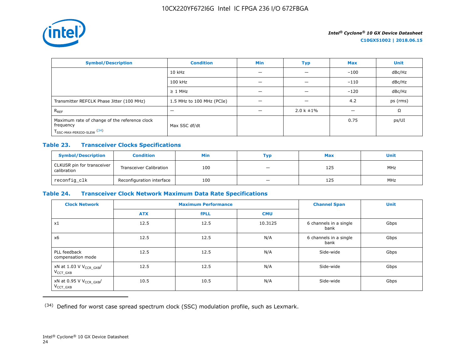

| <b>Symbol/Description</b>                                                                           | <b>Condition</b>          | <b>Min</b> | <b>Typ</b>      | <b>Max</b> | <b>Unit</b> |
|-----------------------------------------------------------------------------------------------------|---------------------------|------------|-----------------|------------|-------------|
|                                                                                                     | $10$ kHz                  |            |                 | $-100$     | dBc/Hz      |
|                                                                                                     | 100 kHz                   |            |                 | $-110$     | dBc/Hz      |
|                                                                                                     | $\geq$ 1 MHz              |            |                 | $-120$     | dBc/Hz      |
| Transmitter REFCLK Phase Jitter (100 MHz)                                                           | 1.5 MHz to 100 MHz (PCIe) | —          | -               | 4.2        | ps (rms)    |
| $R_{REF}$                                                                                           |                           |            | $2.0 k \pm 1\%$ |            | Ω           |
| Maximum rate of change of the reference clock<br>frequency<br>T <sub>SSC-MAX-PERIOD-SLEW</sub> (34) | Max SSC df/dt             |            |                 | 0.75       | ps/UI       |

## **Table 23. Transceiver Clocks Specifications**

| <b>Symbol/Description</b>                 | <b>Condition</b>               | Min | Тур                      | <b>Max</b> | <b>Unit</b> |
|-------------------------------------------|--------------------------------|-----|--------------------------|------------|-------------|
| CLKUSR pin for transceiver<br>calibration | <b>Transceiver Calibration</b> | 100 | $\overline{\phantom{0}}$ | 125        | <b>MHz</b>  |
| reconfig_clk                              | Reconfiguration interface      | 100 |                          | 125        | <b>MHz</b>  |

## **Table 24. Transceiver Clock Network Maximum Data Rate Specifications**

| <b>Clock Network</b>                                   |            | <b>Maximum Performance</b> |            | <b>Channel Span</b>            | <b>Unit</b> |
|--------------------------------------------------------|------------|----------------------------|------------|--------------------------------|-------------|
|                                                        | <b>ATX</b> | <b>fPLL</b>                | <b>CMU</b> |                                |             |
| x1                                                     | 12.5       | 12.5                       | 10.3125    | 6 channels in a single<br>bank | Gbps        |
| x6                                                     | 12.5       | 12.5                       | N/A        | 6 channels in a single<br>bank | Gbps        |
| PLL feedback<br>compensation mode                      | 12.5       | 12.5                       | N/A        | Side-wide                      | Gbps        |
| xN at 1.03 V V <sub>CCR_GXB</sub> /<br>$V_{CCT}$ $GXB$ | 12.5       | 12.5                       | N/A        | Side-wide                      | Gbps        |
| xN at 0.95 V V <sub>CCR_GXB</sub> /<br>$V_{CCT_GXB}$   | 10.5       | 10.5                       | N/A        | Side-wide                      | Gbps        |

(34) Defined for worst case spread spectrum clock (SSC) modulation profile, such as Lexmark.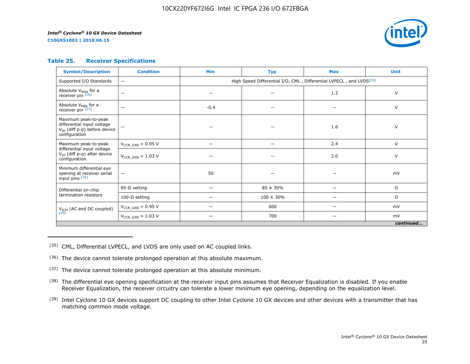*Intel® Cyclone® 10 GX Device Datasheet*

**C10GX51002 | 2018.06.15**



## **Table 25. Receiver Specifications**

| <b>Symbol/Description</b>                                                                                | <b>Condition</b>         | <b>Min</b>                                                                      | <b>Typ</b>     | <b>Max</b> | <b>Unit</b> |  |  |  |
|----------------------------------------------------------------------------------------------------------|--------------------------|---------------------------------------------------------------------------------|----------------|------------|-------------|--|--|--|
| Supported I/O Standards                                                                                  | $\qquad \qquad -$        | High Speed Differential I/O, CML, Differential LVPECL, and LVDS <sup>(35)</sup> |                |            |             |  |  |  |
| Absolute V <sub>MAX</sub> for a<br>receiver pin (36)                                                     | -                        |                                                                                 |                | 1.2        | $\vee$      |  |  |  |
| Absolute V <sub>MIN</sub> for a<br>receiver pin $(37)$                                                   | -                        | $-0.4$                                                                          |                |            | $\vee$      |  |  |  |
| Maximum peak-to-peak<br>differential input voltage<br>$V_{ID}$ (diff p-p) before device<br>configuration |                          |                                                                                 |                | 1.6        | $\vee$      |  |  |  |
| Maximum peak-to-peak<br>differential input voltage                                                       | $V_{CCR\ GXB} = 0.95 V$  |                                                                                 |                | 2.4        | $\vee$      |  |  |  |
| V <sub>ID</sub> (diff p-p) after device<br>configuration                                                 | $V_{CCR\ GXB} = 1.03 V$  |                                                                                 |                | 2.0        | V           |  |  |  |
| Minimum differential eye<br>opening at receiver serial<br>input pins (38)                                | $\overline{\phantom{m}}$ | 50                                                                              |                |            | mV          |  |  |  |
| Differential on-chip                                                                                     | $85-\Omega$ setting      | $\overline{\phantom{0}}$                                                        | $85 \pm 30\%$  | —          | Ω           |  |  |  |
| termination resistors                                                                                    | 100-Ω setting            |                                                                                 | $100 \pm 30\%$ |            | Ω           |  |  |  |
| $V_{ICM}$ (AC and DC coupled)<br>(39)                                                                    | $V_{CCR\ GXB} = 0.95 V$  |                                                                                 | 600            |            | mV          |  |  |  |
|                                                                                                          | $V_{CCR_GXB} = 1.03 V$   |                                                                                 | 700            |            | mV          |  |  |  |
| continued                                                                                                |                          |                                                                                 |                |            |             |  |  |  |

(35) CML, Differential LVPECL, and LVDS are only used on AC coupled links.

- (36) The device cannot tolerate prolonged operation at this absolute maximum.
- $(37)$  The device cannot tolerate prolonged operation at this absolute minimum.
- <sup>(38)</sup> The differential eye opening specification at the receiver input pins assumes that Receiver Equalization is disabled. If you enable Receiver Equalization, the receiver circuitry can tolerate a lower minimum eye opening, depending on the equalization level.
- <sup>(39)</sup> Intel Cyclone 10 GX devices support DC coupling to other Intel Cyclone 10 GX devices and other devices with a transmitter that has matching common mode voltage.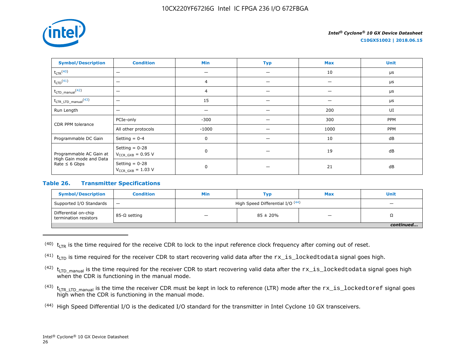

**C10GX51002 | 2018.06.15**

| <b>Symbol/Description</b>                                                | <b>Condition</b>                           | Min            | <b>Typ</b> | <b>Max</b> | <b>Unit</b> |
|--------------------------------------------------------------------------|--------------------------------------------|----------------|------------|------------|-------------|
| $t_{LTR}$ <sup>(40)</sup>                                                | $\overline{\phantom{m}}$                   |                |            | 10         | $\mu$ s     |
| $t_{LTD}$ <sup>(41)</sup>                                                | $\overline{\phantom{0}}$                   | $\overline{4}$ |            |            | $\mu$ s     |
| $t_{\text{LTD\_manual}}$ (42)                                            | $\overline{\phantom{0}}$                   | $\overline{4}$ |            |            | $\mu$ s     |
| $t_{\text{LTR\_LTD\_manual}}$ <sup>(43)</sup>                            | $\overline{\phantom{0}}$                   | 15             |            |            | $\mu s$     |
| Run Length                                                               | $\overline{\phantom{0}}$                   |                |            | 200        | UI          |
| CDR PPM tolerance                                                        | PCIe-only                                  | $-300$         |            | 300        | PPM         |
|                                                                          | All other protocols                        | $-1000$        |            | 1000       | PPM         |
| Programmable DC Gain                                                     | Setting $= 0-4$                            | 0              |            | 10         | dB          |
| Programmable AC Gain at<br>High Gain mode and Data<br>Rate $\leq 6$ Gbps | Setting $= 0-28$<br>$V_{CCR_GXB} = 0.95 V$ | $\mathbf 0$    |            | 19         | dB          |
|                                                                          | Setting $= 0-28$<br>$V_{CCR_GXB} = 1.03 V$ | $\mathbf 0$    |            | 21         | dB          |

## **Table 26. Transmitter Specifications**

| <b>Symbol/Description</b>                     | <b>Condition</b>  | Min                              | Тур                      | <b>Max</b> | <b>Unit</b> |
|-----------------------------------------------|-------------------|----------------------------------|--------------------------|------------|-------------|
| Supported I/O Standards                       | $\qquad \qquad -$ | High Speed Differential I/O (44) | $\overline{\phantom{0}}$ |            |             |
| Differential on-chip<br>termination resistors | 85-Ω setting      |                                  | $85 \pm 20\%$            | _          | 75          |
|                                               |                   |                                  |                          |            |             |

 $(40)$  t<sub>LTR</sub> is the time required for the receive CDR to lock to the input reference clock frequency after coming out of reset.

<sup>(41)</sup>  $t_{\text{LTD}}$  is time required for the receiver CDR to start recovering valid data after the  $rx\_is\_locked$ todata signal goes high.

 $(42)$  t<sub>LTD</sub> manual is the time required for the receiver CDR to start recovering valid data after the  $rx\_is\_locked$ todata signal goes high when the CDR is functioning in the manual mode.

- $(43)$  t<sub>LTR LTD</sub> manual is the time the receiver CDR must be kept in lock to reference (LTR) mode after the  $rx\_is\_lockedtoref$  signal goes high when the CDR is functioning in the manual mode.
- (44) High Speed Differential I/O is the dedicated I/O standard for the transmitter in Intel Cyclone 10 GX transceivers.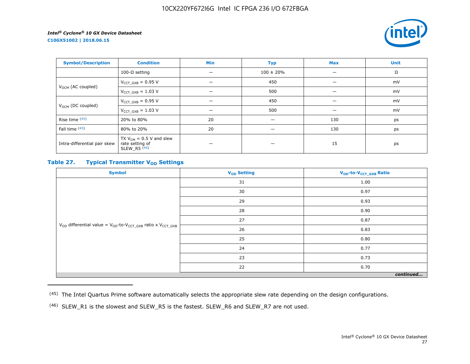**C10GX51002 | 2018.06.15**



| <b>Symbol/Description</b>     | <b>Condition</b>                                                  | Min | <b>Typ</b>     | <b>Max</b> | <b>Unit</b> |
|-------------------------------|-------------------------------------------------------------------|-----|----------------|------------|-------------|
|                               | 100-Ω setting                                                     |     | $100 \pm 20\%$ |            | Ω           |
|                               | $V_{CCT_GXB} = 0.95 V$                                            |     | 450            | -          | mV          |
| V <sub>OCM</sub> (AC coupled) | $V_{CCT_GXB} = 1.03 V$                                            |     | 500            | —          | mV          |
|                               | $V_{CCT_GXB} = 0.95 V$                                            |     | 450            |            | mV          |
| V <sub>OCM</sub> (DC coupled) | $V_{CCT_GXB} = 1.03 V$                                            |     | 500            |            | mV          |
| Rise time $(45)$              | 20% to 80%                                                        | 20  |                | 130        | ps          |
| Fall time (45)                | 80% to 20%                                                        | 20  | –              | 130        | ps          |
| Intra-differential pair skew  | TX $V_{CM}$ = 0.5 V and slew<br>rate setting of<br>SLEW R5 $(46)$ |     |                | 15         | ps          |

## **Table 27. Typical Transmitter V<sub>OD</sub>** Settings

| <b>Symbol</b>                                                                     | V <sub>OD</sub> Setting | V <sub>OD</sub> -to-V <sub>CCT_GXB</sub> Ratio |  |  |  |
|-----------------------------------------------------------------------------------|-------------------------|------------------------------------------------|--|--|--|
|                                                                                   | 31                      | 1.00                                           |  |  |  |
|                                                                                   | 30                      | 0.97                                           |  |  |  |
|                                                                                   | 29                      | 0.93                                           |  |  |  |
|                                                                                   | 28                      | 0.90                                           |  |  |  |
|                                                                                   | 27                      | 0.87                                           |  |  |  |
| $V_{OD}$ differential value = $V_{OD}$ -to- $V_{CCT\_GXB}$ ratio x $V_{CCT\_GXB}$ | 26                      | 0.83                                           |  |  |  |
|                                                                                   | 25                      | 0.80                                           |  |  |  |
|                                                                                   | 24                      | 0.77                                           |  |  |  |
|                                                                                   | 23                      | 0.73                                           |  |  |  |
|                                                                                   | 22                      | 0.70                                           |  |  |  |
| continued                                                                         |                         |                                                |  |  |  |

<sup>(45)</sup> The Intel Quartus Prime software automatically selects the appropriate slew rate depending on the design configurations.

<sup>(46)</sup> SLEW\_R1 is the slowest and SLEW\_R5 is the fastest. SLEW\_R6 and SLEW\_R7 are not used.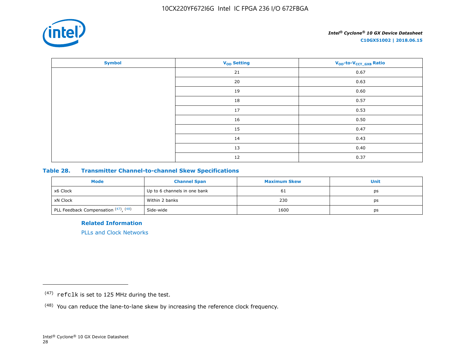

| <b>Symbol</b> | V <sub>OD</sub> Setting | V <sub>OD</sub> -to-V <sub>CCT_GXB</sub> Ratio |
|---------------|-------------------------|------------------------------------------------|
|               | 21                      | 0.67                                           |
|               | 20                      | 0.63                                           |
|               | 19                      | 0.60                                           |
|               | 18                      | 0.57                                           |
|               | 17                      | 0.53                                           |
|               | 16                      | 0.50                                           |
|               | 15                      | 0.47                                           |
|               | 14                      | 0.43                                           |
|               | 13                      | 0.40                                           |
|               | 12                      | 0.37                                           |

## **Table 28. Transmitter Channel-to-channel Skew Specifications**

| Mode                                 | <b>Channel Span</b>          | <b>Maximum Skew</b> | Unit |
|--------------------------------------|------------------------------|---------------------|------|
| x6 Clock                             | Up to 6 channels in one bank | 61                  | ps   |
| xN Clock                             | Within 2 banks               | 230                 | ps   |
| PLL Feedback Compensation (47), (48) | Side-wide                    | 1600                | ps   |

**Related Information**

[PLLs and Clock Networks](https://documentation.altera.com/#/link/hki1486507600636/mbh1486506924952)

<sup>(47)</sup> refclk is set to 125 MHz during the test.

<sup>(48)</sup> You can reduce the lane-to-lane skew by increasing the reference clock frequency.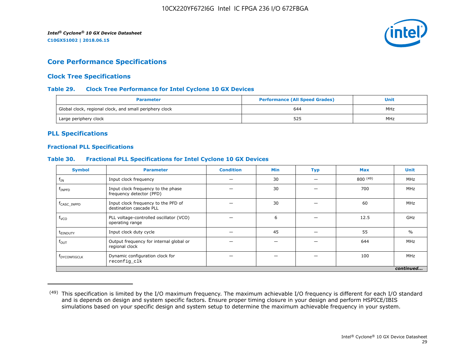

# **Core Performance Specifications**

## **Clock Tree Specifications**

## **Table 29. Clock Tree Performance for Intel Cyclone 10 GX Devices**

| <b>Parameter</b>                                        | <b>Performance (All Speed Grades)</b> | Unit |
|---------------------------------------------------------|---------------------------------------|------|
| Global clock, regional clock, and small periphery clock | 644                                   | MHz  |
| Large periphery clock                                   | 525                                   | MHz  |

## **PLL Specifications**

## **Fractional PLL Specifications**

## **Table 30. Fractional PLL Specifications for Intel Cyclone 10 GX Devices**

| <b>Symbol</b>            | <b>Parameter</b>                                               | <b>Condition</b> | <b>Min</b> | <b>Typ</b> | <b>Max</b> | <b>Unit</b>   |
|--------------------------|----------------------------------------------------------------|------------------|------------|------------|------------|---------------|
| $f_{IN}$                 | Input clock frequency                                          |                  | 30         |            | 800(49)    | MHz           |
| $f_{INPP}$               | Input clock frequency to the phase<br>frequency detector (PFD) |                  | 30         |            | 700        | MHz           |
| f <sub>CASC</sub> INPFD  | Input clock frequency to the PFD of<br>destination cascade PLL |                  | 30         |            | 60         | MHz           |
| $f_{VCO}$                | PLL voltage-controlled oscillator (VCO)<br>operating range     |                  | 6          |            | 12.5       | GHz           |
| t <sub>einduty</sub>     | Input clock duty cycle                                         |                  | 45         |            | 55         | $\frac{0}{0}$ |
| $f_{\text{OUT}}$         | Output frequency for internal global or<br>regional clock      |                  |            |            | 644        | MHz           |
| f <sub>DYCONFIGCLK</sub> | Dynamic configuration clock for<br>reconfig_clk                |                  |            |            | 100        | MHz           |
|                          |                                                                |                  |            |            |            | continued     |

<sup>&</sup>lt;sup>(49)</sup> This specification is limited by the I/O maximum frequency. The maximum achievable I/O frequency is different for each I/O standard and is depends on design and system specific factors. Ensure proper timing closure in your design and perform HSPICE/IBIS simulations based on your specific design and system setup to determine the maximum achievable frequency in your system.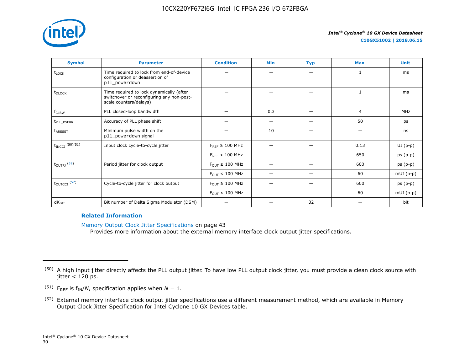

| <b>Symbol</b>              | <b>Parameter</b>                                                                                                | <b>Condition</b>                      | <b>Min</b> | <b>Typ</b> | <b>Max</b> | <b>Unit</b> |
|----------------------------|-----------------------------------------------------------------------------------------------------------------|---------------------------------------|------------|------------|------------|-------------|
| t <sub>LOCK</sub>          | Time required to lock from end-of-device<br>configuration or deassertion of<br>pll_powerdown                    |                                       |            |            | 1          | ms          |
| t <sub>DLOCK</sub>         | Time required to lock dynamically (after<br>switchover or reconfiguring any non-post-<br>scale counters/delays) |                                       |            |            | 1          | ms          |
| f <sub>CLBW</sub>          | PLL closed-loop bandwidth                                                                                       |                                       | 0.3        |            | 4          | MHz         |
| t <sub>PLL</sub> PSERR     | Accuracy of PLL phase shift                                                                                     |                                       | -          |            | 50         | ps          |
| t <sub>ARESET</sub>        | Minimum pulse width on the<br>pll_powerdown signal                                                              |                                       | 10         |            |            | ns          |
| $t_{INCCJ}$ (50)(51)       | Input clock cycle-to-cycle jitter                                                                               | $F_{RFF} \geq 100$ MHz                |            |            | 0.13       | $UI(p-p)$   |
|                            |                                                                                                                 | $F_{REF}$ < 100 MHz                   |            |            | 650        | $ps(p-p)$   |
| $t_{\text{OUTPJ}}$ (52)    | Period jitter for clock output                                                                                  | $F_{\text{OUT}} \geq 100 \text{ MHz}$ |            |            | 600        | $ps(p-p)$   |
|                            |                                                                                                                 | $F_{\text{OUT}} < 100 \text{ MHz}$    |            |            | 60         | $mUI(p-p)$  |
| $t_{\text{OUTCCJ}}$ $(52)$ | Cycle-to-cycle jitter for clock output                                                                          | $F_{\text{OUT}} \geq 100 \text{ MHz}$ |            |            | 600        | $ps(p-p)$   |
|                            |                                                                                                                 | $F_{\text{OUT}} < 100 \text{ MHz}$    |            |            | 60         | $mUI(p-p)$  |
| $dK_{\text{BIT}}$          | Bit number of Delta Sigma Modulator (DSM)                                                                       |                                       |            | 32         |            | bit         |

## **Related Information**

Memory Output Clock Jitter Specifications on page 43

Provides more information about the external memory interface clock output jitter specifications.

- <sup>(51)</sup> F<sub>REF</sub> is  $f_{IN}/N$ , specification applies when  $N = 1$ .
- (52) External memory interface clock output jitter specifications use a different measurement method, which are available in Memory Output Clock Jitter Specification for Intel Cyclone 10 GX Devices table.

<sup>&</sup>lt;sup>(50)</sup> A high input jitter directly affects the PLL output jitter. To have low PLL output clock jitter, you must provide a clean clock source with  $\text{jitter} < 120 \text{ ps}.$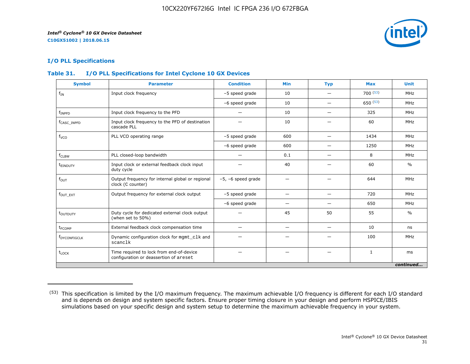

## **I/O PLL Specifications**

## **Table 31. I/O PLL Specifications for Intel Cyclone 10 GX Devices**

| <b>Symbol</b>            | <b>Parameter</b>                                                                   | <b>Condition</b>        | <b>Min</b>               | <b>Typ</b> | <b>Max</b> | <b>Unit</b>   |
|--------------------------|------------------------------------------------------------------------------------|-------------------------|--------------------------|------------|------------|---------------|
| $f_{IN}$                 | Input clock frequency                                                              | -5 speed grade          | 10                       |            | 700(53)    | MHz           |
|                          |                                                                                    | -6 speed grade          | 10                       | -          | 650(53)    | MHz           |
| $f_{INPFD}$              | Input clock frequency to the PFD                                                   |                         | 10                       |            | 325        | MHz           |
| f <sub>CASC_INPFD</sub>  | Input clock frequency to the PFD of destination<br>cascade PLL                     |                         | 10                       |            | 60         | MHz           |
| f <sub>VCO</sub>         | PLL VCO operating range                                                            | -5 speed grade          | 600                      | —          | 1434       | MHz           |
|                          |                                                                                    | -6 speed grade          | 600                      | —          | 1250       | MHz           |
| $f_{CLBW}$               | PLL closed-loop bandwidth                                                          |                         | 0.1                      | –          | 8          | MHz           |
| t <sub>EINDUTY</sub>     | Input clock or external feedback clock input<br>duty cycle                         |                         | 40                       |            | 60         | $\frac{0}{0}$ |
| $f_{OUT}$                | Output frequency for internal global or regional<br>clock (C counter)              | $-5$ , $-6$ speed grade | -                        |            | 644        | MHz           |
| $f_{OUT EXT}$            | Output frequency for external clock output                                         | -5 speed grade          | -                        |            | 720        | MHz           |
|                          |                                                                                    | -6 speed grade          | -                        |            | 650        | MHz           |
| toutputy                 | Duty cycle for dedicated external clock output<br>(when set to 50%)                |                         | 45                       | 50         | 55         | $\frac{0}{0}$ |
| t <sub>FCOMP</sub>       | External feedback clock compensation time                                          | —                       | $\overline{\phantom{0}}$ | —          | 10         | ns            |
| f <sub>DYCONFIGCLK</sub> | Dynamic configuration clock for mgmt_clk and<br>scanclk                            |                         |                          |            | 100        | MHz           |
| t <sub>LOCK</sub>        | Time required to lock from end-of-device<br>configuration or deassertion of areset |                         |                          |            | 1          | ms            |
|                          |                                                                                    |                         |                          |            |            | continued     |

<sup>(53)</sup> This specification is limited by the I/O maximum frequency. The maximum achievable I/O frequency is different for each I/O standard and is depends on design and system specific factors. Ensure proper timing closure in your design and perform HSPICE/IBIS simulations based on your specific design and system setup to determine the maximum achievable frequency in your system.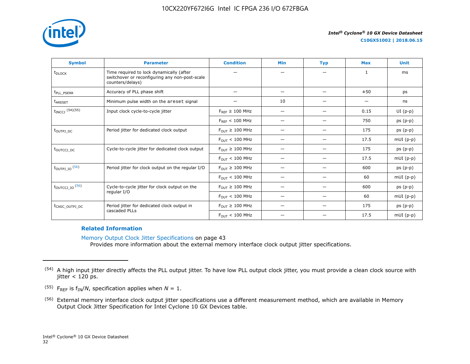

| <b>Symbol</b>               | <b>Parameter</b>                                                                                               | <b>Condition</b>                      | <b>Min</b>               | <b>Typ</b> | <b>Max</b> | <b>Unit</b> |
|-----------------------------|----------------------------------------------------------------------------------------------------------------|---------------------------------------|--------------------------|------------|------------|-------------|
| t <sub>DLOCK</sub>          | Time required to lock dynamically (after<br>switchover or reconfiguring any non-post-scale<br>counters/delays) |                                       |                          |            | 1          | ms          |
| t <sub>pll_pserr</sub>      | Accuracy of PLL phase shift                                                                                    |                                       | $\overline{\phantom{0}}$ | —          | ±50        | ps          |
| t <sub>ARESET</sub>         | Minimum pulse width on the areset signal                                                                       | —                                     | 10                       | —          |            | ns          |
| t <sub>INCCJ</sub> (54)(55) | Input clock cycle-to-cycle jitter                                                                              | $F_{RFF} \geq 100$ MHz                |                          |            | 0.15       | $UI(p-p)$   |
|                             |                                                                                                                | $F_{REF}$ < 100 MHz                   |                          |            | 750        | $ps(p-p)$   |
| t <sub>outpj dc</sub>       | Period jitter for dedicated clock output                                                                       | $F_{OIII} \geq 100$ MHz               | $\overline{\phantom{0}}$ | —          | 175        | $ps(p-p)$   |
|                             |                                                                                                                | $F_{\text{OUT}}$ < 100 MHz            | —                        |            | 17.5       | $mUI(p-p)$  |
| t <sub>outccj pc</sub>      | Cycle-to-cycle jitter for dedicated clock output                                                               | $F_{\text{OUT}} \geq 100 \text{ MHz}$ |                          |            | 175        | $ps(p-p)$   |
|                             |                                                                                                                | $F_{\text{OUT}} < 100 \text{ MHz}$    | $\overline{\phantom{0}}$ | –          | 17.5       | $mUI(p-p)$  |
| t <sub>outpj_io</sub> (56)  | Period jitter for clock output on the regular I/O                                                              | $F_{OUT} \geq 100$ MHz                |                          |            | 600        | $ps(p-p)$   |
|                             |                                                                                                                | $F_{\text{OUT}} < 100 \text{ MHz}$    |                          | —          | 60         | $mUI(p-p)$  |
| t <sub>outccj_io</sub> (56) | Cycle-to-cycle jitter for clock output on the                                                                  | $F_{OIII} \geq 100$ MHz               | $\overline{\phantom{0}}$ | -          | 600        | $ps(p-p)$   |
|                             | regular I/O                                                                                                    | $F_{\text{OUT}} < 100 \text{ MHz}$    |                          |            | 60         | $mUI(p-p)$  |
| t <sub>CASC_OUTPJ_DC</sub>  | Period jitter for dedicated clock output in                                                                    | $F_{OUT} \geq 100$ MHz                | $\overline{\phantom{0}}$ |            | 175        | $ps(p-p)$   |
|                             | cascaded PLLs                                                                                                  | $F_{\text{OUT}} < 100 \text{ MHz}$    |                          |            | 17.5       | $mUI(p-p)$  |

#### **Related Information**

Memory Output Clock Jitter Specifications on page 43 Provides more information about the external memory interface clock output jitter specifications.

<sup>&</sup>lt;sup>(54)</sup> A high input jitter directly affects the PLL output jitter. To have low PLL output clock jitter, you must provide a clean clock source with  $\text{jitter} < 120 \text{ ps}.$ 

<sup>&</sup>lt;sup>(55)</sup> F<sub>REF</sub> is  $f_{IN}/N$ , specification applies when  $N = 1$ .

<sup>(56)</sup> External memory interface clock output jitter specifications use a different measurement method, which are available in Memory Output Clock Jitter Specification for Intel Cyclone 10 GX Devices table.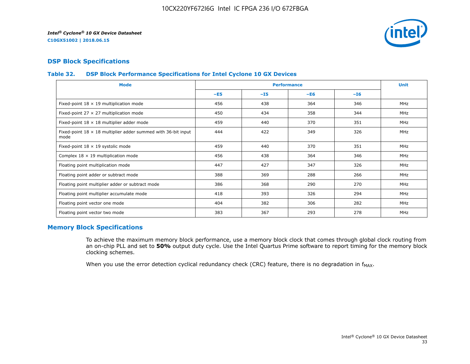

## **DSP Block Specifications**

## **Table 32. DSP Block Performance Specifications for Intel Cyclone 10 GX Devices**

| <b>Mode</b>                                                                  |       |       | <b>Performance</b> |       | <b>Unit</b> |
|------------------------------------------------------------------------------|-------|-------|--------------------|-------|-------------|
|                                                                              | $-E5$ | $-15$ | $-E6$              | $-16$ |             |
| Fixed-point $18 \times 19$ multiplication mode                               | 456   | 438   | 364                | 346   | <b>MHz</b>  |
| Fixed-point 27 $\times$ 27 multiplication mode                               | 450   | 434   | 358                | 344   | <b>MHz</b>  |
| Fixed-point $18 \times 18$ multiplier adder mode                             | 459   | 440   | 370                | 351   | <b>MHz</b>  |
| Fixed-point $18 \times 18$ multiplier adder summed with 36-bit input<br>mode | 444   | 422   | 349                | 326   | <b>MHz</b>  |
| Fixed-point $18 \times 19$ systolic mode                                     | 459   | 440   | 370                | 351   | <b>MHz</b>  |
| Complex $18 \times 19$ multiplication mode                                   | 456   | 438   | 364                | 346   | MHz         |
| Floating point multiplication mode                                           | 447   | 427   | 347                | 326   | <b>MHz</b>  |
| Floating point adder or subtract mode                                        | 388   | 369   | 288                | 266   | MHz         |
| Floating point multiplier adder or subtract mode                             | 386   | 368   | 290                | 270   | <b>MHz</b>  |
| Floating point multiplier accumulate mode                                    | 418   | 393   | 326                | 294   | <b>MHz</b>  |
| Floating point vector one mode                                               | 404   | 382   | 306                | 282   | <b>MHz</b>  |
| Floating point vector two mode                                               | 383   | 367   | 293                | 278   | <b>MHz</b>  |

## **Memory Block Specifications**

To achieve the maximum memory block performance, use a memory block clock that comes through global clock routing from an on-chip PLL and set to **50%** output duty cycle. Use the Intel Quartus Prime software to report timing for the memory block clocking schemes.

When you use the error detection cyclical redundancy check (CRC) feature, there is no degradation in  $f_{MAX}$ .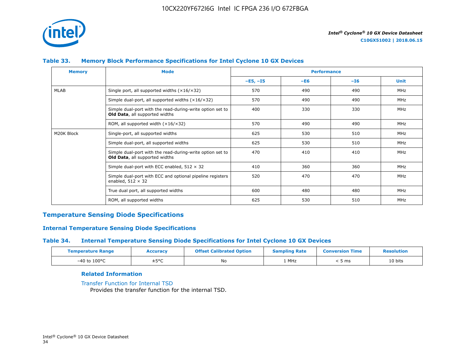

## **Table 33. Memory Block Performance Specifications for Intel Cyclone 10 GX Devices**

| <b>Memory</b> | <b>Mode</b>                                                                                        |            | <b>Performance</b> |       |             |
|---------------|----------------------------------------------------------------------------------------------------|------------|--------------------|-------|-------------|
|               |                                                                                                    | $-E5, -15$ | $-E6$              | $-I6$ | <b>Unit</b> |
| MLAB          | Single port, all supported widths $(x16/x32)$                                                      | 570        | 490                | 490   | MHz         |
|               | Simple dual-port, all supported widths $(x16/x32)$                                                 | 570        | 490                | 490   | MHz         |
|               | Simple dual-port with the read-during-write option set to<br><b>Old Data, all supported widths</b> | 400        | 330                | 330   | MHz         |
|               | ROM, all supported width $(x16/x32)$                                                               | 570        | 490                | 490   | MHz         |
| M20K Block    | Single-port, all supported widths                                                                  | 625        | 530                | 510   | MHz         |
|               | Simple dual-port, all supported widths                                                             | 625        | 530                | 510   | MHz         |
|               | Simple dual-port with the read-during-write option set to<br>Old Data, all supported widths        | 470        | 410                | 410   | MHz         |
|               | Simple dual-port with ECC enabled, $512 \times 32$                                                 | 410        | 360                | 360   | MHz         |
|               | Simple dual-port with ECC and optional pipeline registers<br>enabled, $512 \times 32$              | 520        | 470                | 470   | MHz         |
|               | True dual port, all supported widths                                                               | 600        | 480                | 480   | MHz         |
|               | ROM, all supported widths                                                                          | 625        | 530                | 510   | <b>MHz</b>  |

## **Temperature Sensing Diode Specifications**

## **Internal Temperature Sensing Diode Specifications**

## **Table 34. Internal Temperature Sensing Diode Specifications for Intel Cyclone 10 GX Devices**

| <b>Temperature Range</b> | Accuracy | <b>Offset Calibrated Option</b> | <b>Sampling Rate</b> | <b>Conversion Time</b> | <b>Resolution</b> |
|--------------------------|----------|---------------------------------|----------------------|------------------------|-------------------|
| $-40$ to $100^{\circ}$ C | ±5°C     | No                              | 1 MHz                | , ms                   | 10 bits           |

## **Related Information**

[Transfer Function for Internal TSD](https://www.altera.com/documentation/vua1487061384661.html#utv1490341047242) Provides the transfer function for the internal TSD.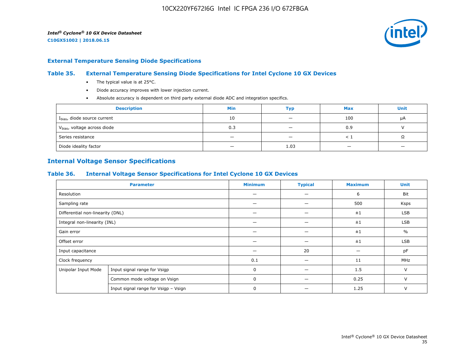

#### **External Temperature Sensing Diode Specifications**

## **Table 35. External Temperature Sensing Diode Specifications for Intel Cyclone 10 GX Devices**

- The typical value is at 25°C.
- Diode accuracy improves with lower injection current.
- Absolute accuracy is dependent on third party external diode ADC and integration specifics.

| <b>Description</b>                       | <b>Min</b> | Тур                      | <b>Max</b> | <b>Unit</b> |
|------------------------------------------|------------|--------------------------|------------|-------------|
| I <sub>bias</sub> , diode source current | 10         | $\overline{\phantom{0}}$ | 100        | μA          |
| V <sub>bias</sub> , voltage across diode | 0.3        |                          | 0.9        |             |
| Series resistance                        |            | $\overline{\phantom{a}}$ |            | 75          |
| Diode ideality factor                    | -          | 1.03                     |            |             |

## **Internal Voltage Sensor Specifications**

#### **Table 36. Internal Voltage Sensor Specifications for Intel Cyclone 10 GX Devices**

|                                  | <b>Parameter</b>                     | <b>Minimum</b> | <b>Typical</b> | <b>Maximum</b> | <b>Unit</b>   |
|----------------------------------|--------------------------------------|----------------|----------------|----------------|---------------|
| Resolution                       |                                      |                | —              | 6              | Bit           |
| Sampling rate                    |                                      |                |                | 500            | Ksps          |
| Differential non-linearity (DNL) |                                      |                |                | ±1             | <b>LSB</b>    |
| Integral non-linearity (INL)     |                                      |                |                | ±1             | <b>LSB</b>    |
| Gain error                       |                                      |                | -              | ±1             | $\frac{0}{0}$ |
| Offset error                     |                                      |                |                | ±1             | LSB           |
| Input capacitance                |                                      |                | 20             |                | pF            |
| Clock frequency                  |                                      | 0.1            |                | 11             | MHz           |
| Unipolar Input Mode              | Input signal range for Vsigp         | 0              |                | 1.5            | V             |
|                                  | Common mode voltage on Vsign         | 0              |                | 0.25           | $\vee$        |
|                                  | Input signal range for Vsigp - Vsign | 0              |                | 1.25           | $\vee$        |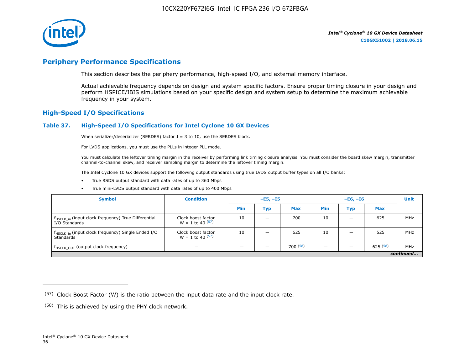

# **Periphery Performance Specifications**

This section describes the periphery performance, high-speed I/O, and external memory interface.

Actual achievable frequency depends on design and system specific factors. Ensure proper timing closure in your design and perform HSPICE/IBIS simulations based on your specific design and system setup to determine the maximum achievable frequency in your system.

## **High-Speed I/O Specifications**

#### **Table 37. High-Speed I/O Specifications for Intel Cyclone 10 GX Devices**

When serializer/deserializer (SERDES) factor  $J = 3$  to 10, use the SERDES block.

For LVDS applications, you must use the PLLs in integer PLL mode.

You must calculate the leftover timing margin in the receiver by performing link timing closure analysis. You must consider the board skew margin, transmitter channel-to-channel skew, and receiver sampling margin to determine the leftover timing margin.

The Intel Cyclone 10 GX devices support the following output standards using true LVDS output buffer types on all I/O banks:

- True RSDS output standard with data rates of up to 360 Mbps
- True mini-LVDS output standard with data rates of up to 400 Mbps

| <b>Symbol</b>                                                                    | <b>Condition</b>                           | $-E5, -15$ |                          |            | $-E6, -I6$ |     |            | <b>Unit</b> |
|----------------------------------------------------------------------------------|--------------------------------------------|------------|--------------------------|------------|------------|-----|------------|-------------|
|                                                                                  |                                            | Min        | Тур                      | <b>Max</b> | <b>Min</b> | Тур | <b>Max</b> |             |
| f <sub>HSCLK_in</sub> (input clock frequency) True Differential<br>I/O Standards | Clock boost factor<br>$W = 1$ to 40 $(57)$ | 10         | $\overline{\phantom{0}}$ | 700        | 10         | -   | 625        | MHz         |
| f <sub>HSCLK_in</sub> (input clock frequency) Single Ended I/O<br>Standards      | Clock boost factor<br>$W = 1$ to 40 $(57)$ | 10         | –                        | 625        | 10         |     | 525        | MHz         |
| f <sub>HSCLK_OUT</sub> (output clock frequency)                                  |                                            |            |                          | 700(58)    |            |     | 625(58)    | MHz         |
| continued                                                                        |                                            |            |                          |            |            |     |            |             |

 $(57)$  Clock Boost Factor (W) is the ratio between the input data rate and the input clock rate.

 $(58)$  This is achieved by using the PHY clock network.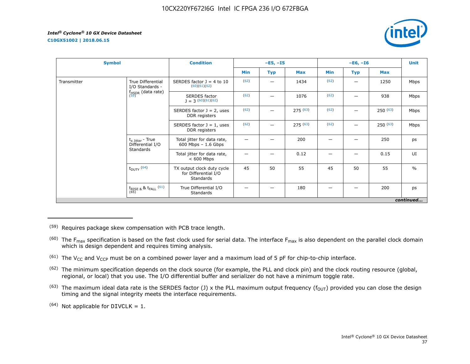**C10GX51002 | 2018.06.15**



| <b>Symbol</b> |                                                   | <b>Condition</b>                                                |      | $-E5, -I5$ |            |      | $-E6, -I6$ |            | <b>Unit</b>   |
|---------------|---------------------------------------------------|-----------------------------------------------------------------|------|------------|------------|------|------------|------------|---------------|
|               |                                                   |                                                                 | Min  | <b>Typ</b> | <b>Max</b> | Min  | Typ        | <b>Max</b> |               |
| Transmitter   | True Differential<br>I/O Standards -              | SERDES factor $J = 4$ to 10<br>(60)(61)(62)                     | (62) |            | 1434       | (62) | —          | 1250       | Mbps          |
|               | $f_{HSDR}$ (data rate)<br>$(59)$                  | <b>SERDES</b> factor<br>$J = 3(60)(61)(62)$                     | (62) |            | 1076       | (62) |            | 938        | Mbps          |
|               |                                                   | SERDES factor $J = 2$ , uses<br>DDR registers                   | (62) |            | 275(63)    | (62) |            | 250(63)    | Mbps          |
|               |                                                   | SERDES factor $J = 1$ , uses<br>DDR registers                   | (62) |            | 275(63)    | (62) |            | 250(63)    | Mbps          |
|               | $t_{x \text{ Jitter}}$ - True<br>Differential I/O | Total jitter for data rate,<br>$600$ Mbps $-1.6$ Gbps           |      |            | 200        | -    |            | 250        | ps            |
|               | Standards                                         | Total jitter for data rate,<br>$< 600$ Mbps                     |      |            | 0.12       |      |            | 0.15       | UI            |
|               | $t_{DUTY}$ (64)                                   | TX output clock duty cycle<br>for Differential I/O<br>Standards | 45   | 50         | 55         | 45   | 50         | 55         | $\frac{0}{0}$ |
|               | $t_{\text{RISE 8}}$ & $t_{\text{FALL}}$ (61)      | True Differential I/O<br>Standards                              |      |            | 180        |      |            | 200        | ps            |
|               |                                                   |                                                                 |      |            |            |      |            |            | continued     |

(59) Requires package skew compensation with PCB trace length.

 $^{(60)}$  The F<sub>max</sub> specification is based on the fast clock used for serial data. The interface F<sub>max</sub> is also dependent on the parallel clock domain which is design dependent and requires timing analysis.

<sup>(61)</sup> The V<sub>CC</sub> and V<sub>CCP</sub> must be on a combined power layer and a maximum load of 5 pF for chip-to-chip interface.

<sup>(62)</sup> The minimum specification depends on the clock source (for example, the PLL and clock pin) and the clock routing resource (global, regional, or local) that you use. The I/O differential buffer and serializer do not have a minimum toggle rate.

<sup>(63)</sup> The maximum ideal data rate is the SERDES factor (J) x the PLL maximum output frequency ( $f_{OUT}$ ) provided you can close the design timing and the signal integrity meets the interface requirements.

 $(64)$  Not applicable for DIVCLK = 1.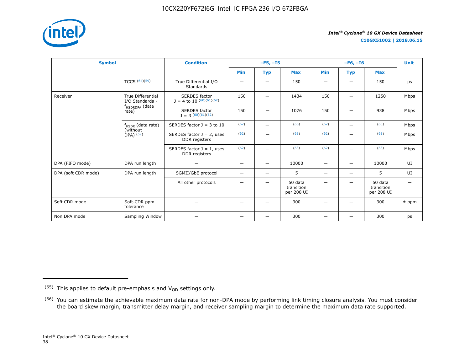

**C10GX51002 | 2018.06.15**

| <b>Symbol</b>       |                                                      | <b>Condition</b>                                     |                          | $-E5, -15$               |                                     | $-E6, -I6$               |                          |                                     | <b>Unit</b> |
|---------------------|------------------------------------------------------|------------------------------------------------------|--------------------------|--------------------------|-------------------------------------|--------------------------|--------------------------|-------------------------------------|-------------|
|                     |                                                      |                                                      | <b>Min</b>               | <b>Typ</b>               | <b>Max</b>                          | <b>Min</b>               | <b>Typ</b>               | <b>Max</b>                          |             |
|                     | TCCS $(64)(59)$                                      | True Differential I/O<br><b>Standards</b>            |                          | $\overline{\phantom{0}}$ | 150                                 | -                        |                          | 150                                 | ps          |
| Receiver            | <b>True Differential</b><br>I/O Standards -          | <b>SERDES</b> factor<br>$J = 4$ to 10 $(60)(61)(62)$ | 150                      | -                        | 1434                                | 150                      |                          | 1250                                | Mbps        |
|                     | f <sub>HSDRDPA</sub> (data<br>rate)                  | <b>SERDES</b> factor<br>$1 = 3(60)(61)(62)$          | 150                      |                          | 1076                                | 150                      |                          | 938                                 | Mbps        |
|                     | $f_{HSDR}$ (data rate)<br>(without)<br>$DPA)$ $(59)$ | SERDES factor $J = 3$ to 10                          | (62)                     | $\overline{\phantom{0}}$ | (66)                                | (62)                     | $\overline{\phantom{0}}$ | (66)                                | Mbps        |
|                     |                                                      | SERDES factor $J = 2$ , uses<br>DDR registers        | (62)                     |                          | (63)                                | (62)                     |                          | (63)                                | Mbps        |
|                     |                                                      | SERDES factor $J = 1$ , uses<br>DDR registers        | (62)                     | —                        | (63)                                | (62)                     | $\overline{\phantom{0}}$ | (63)                                | Mbps        |
| DPA (FIFO mode)     | DPA run length                                       | $\overline{\phantom{0}}$                             | -                        | $\qquad \qquad -$        | 10000                               | $\qquad \qquad$          | $\overline{\phantom{0}}$ | 10000                               | UI          |
| DPA (soft CDR mode) | DPA run length                                       | SGMII/GbE protocol                                   | $\overline{\phantom{0}}$ | $\overline{\phantom{0}}$ | 5                                   | $\overline{\phantom{m}}$ | -                        | 5                                   | UI          |
|                     |                                                      | All other protocols                                  |                          | -                        | 50 data<br>transition<br>per 208 UI |                          |                          | 50 data<br>transition<br>per 208 UI |             |
| Soft CDR mode       | Soft-CDR ppm<br>tolerance                            |                                                      |                          |                          | 300                                 |                          |                          | 300                                 | $±$ ppm     |
| Non DPA mode        | Sampling Window                                      |                                                      | –                        | $\overline{\phantom{0}}$ | 300                                 |                          |                          | 300                                 | ps          |

 $(65)$  This applies to default pre-emphasis and  $V_{OD}$  settings only.

<sup>&</sup>lt;sup>(66)</sup> You can estimate the achievable maximum data rate for non-DPA mode by performing link timing closure analysis. You must consider the board skew margin, transmitter delay margin, and receiver sampling margin to determine the maximum data rate supported.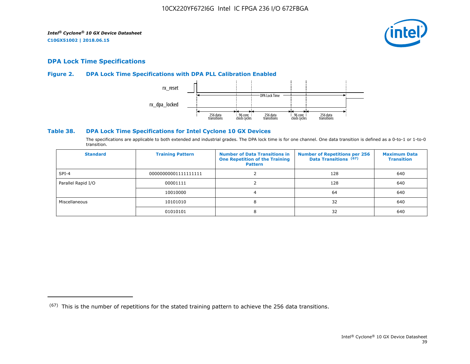

## **DPA Lock Time Specifications**

## **Figure 2. DPA Lock Time Specifications with DPA PLL Calibration Enabled**



## **Table 38. DPA Lock Time Specifications for Intel Cyclone 10 GX Devices**

The specifications are applicable to both extended and industrial grades. The DPA lock time is for one channel. One data transition is defined as a 0-to-1 or 1-to-0 transition.

| <b>Standard</b>    | <b>Training Pattern</b> | <b>Number of Data Transitions in</b><br><b>One Repetition of the Training</b><br><b>Pattern</b> | <b>Number of Repetitions per 256</b><br>Data Transitions (67) | <b>Maximum Data</b><br><b>Transition</b> |
|--------------------|-------------------------|-------------------------------------------------------------------------------------------------|---------------------------------------------------------------|------------------------------------------|
| $SPI-4$            | 00000000001111111111    |                                                                                                 | 128                                                           | 640                                      |
| Parallel Rapid I/O | 00001111                |                                                                                                 | 128                                                           | 640                                      |
|                    | 10010000                |                                                                                                 | 64                                                            | 640                                      |
| Miscellaneous      | 10101010                | 8                                                                                               | 32                                                            | 640                                      |
|                    | 01010101                | 8                                                                                               | 32                                                            | 640                                      |

 $(67)$  This is the number of repetitions for the stated training pattern to achieve the 256 data transitions.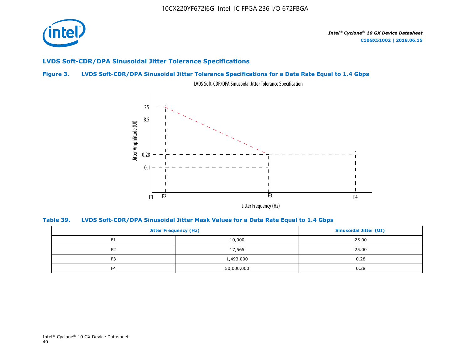

## **LVDS Soft-CDR/DPA Sinusoidal Jitter Tolerance Specifications**

## **Figure 3. LVDS Soft-CDR/DPA Sinusoidal Jitter Tolerance Specifications for a Data Rate Equal to 1.4 Gbps**



LVDS Soft-CDR/DPA Sinusoidal Jitter Tolerance Specification

**Table 39. LVDS Soft-CDR/DPA Sinusoidal Jitter Mask Values for a Data Rate Equal to 1.4 Gbps**

|                | <b>Jitter Frequency (Hz)</b> |       |  |  |
|----------------|------------------------------|-------|--|--|
| F1             | 10,000                       |       |  |  |
| F <sub>2</sub> | 17,565                       | 25.00 |  |  |
| F <sub>3</sub> | 1,493,000                    |       |  |  |
| F <sub>4</sub> | 50,000,000                   | 0.28  |  |  |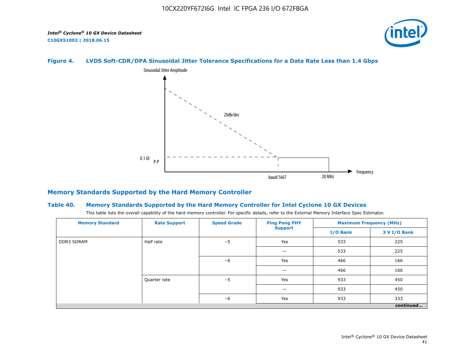

## **Figure 4. LVDS Soft-CDR/DPA Sinusoidal Jitter Tolerance Specifications for a Data Rate Less than 1.4 Gbps**



## **Memory Standards Supported by the Hard Memory Controller**

#### **Table 40. Memory Standards Supported by the Hard Memory Controller for Intel Cyclone 10 GX Devices**

This table lists the overall capability of the hard memory controller. For specific details, refer to the External Memory Interface Spec Estimator.

| <b>Memory Standard</b> | <b>Speed Grade</b><br><b>Ping Pong PHY</b><br><b>Rate Support</b><br><b>Support</b> | <b>Maximum Frequency (MHz)</b> |     |          |              |
|------------------------|-------------------------------------------------------------------------------------|--------------------------------|-----|----------|--------------|
|                        |                                                                                     |                                |     | I/O Bank | 3 V I/O Bank |
| <b>DDR3 SDRAM</b>      | Half rate                                                                           | $-5$                           | Yes | 533      | 225          |
|                        |                                                                                     |                                |     | 533      | 225          |
|                        |                                                                                     | $-6$                           | Yes | 466      | 166          |
|                        |                                                                                     |                                |     | 466      | 166          |
|                        | Quarter rate                                                                        | $-5$                           | Yes | 933      | 450          |
|                        |                                                                                     |                                |     | 933      | 450          |
|                        |                                                                                     | $-6$                           | Yes | 933      | 333          |
|                        |                                                                                     |                                |     |          | continued    |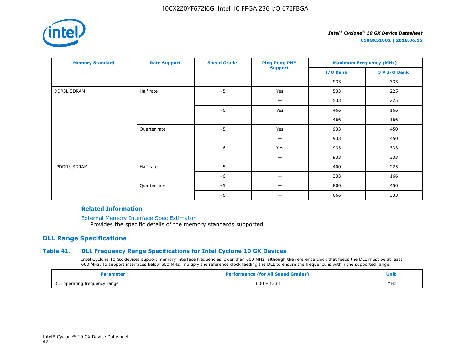

**C10GX51002 | 2018.06.15**

| <b>Memory Standard</b> | <b>Rate Support</b> | <b>Speed Grade</b> | <b>Ping Pong PHY</b> | <b>Maximum Frequency (MHz)</b> |              |
|------------------------|---------------------|--------------------|----------------------|--------------------------------|--------------|
|                        |                     |                    | <b>Support</b>       | I/O Bank                       | 3 V I/O Bank |
|                        |                     |                    | —                    | 933                            | 333          |
| <b>DDR3L SDRAM</b>     | Half rate           | $-5$               | Yes                  | 533                            | 225          |
|                        |                     |                    | -                    | 533                            | 225          |
|                        |                     | $-6$               | Yes                  | 466                            | 166          |
|                        |                     |                    |                      | 466                            | 166          |
|                        | Quarter rate        | $-5$               | Yes                  | 933                            | 450          |
|                        |                     |                    | -                    | 933                            | 450          |
|                        |                     | $-6$               | Yes                  | 933                            | 333          |
|                        |                     |                    |                      | 933                            | 333          |
| LPDDR3 SDRAM           | Half rate           | $-5$               |                      | 400                            | 225          |
|                        |                     | $-6$               | —                    | 333                            | 166          |
|                        | Quarter rate        | $-5$               |                      | 800                            | 450          |
|                        |                     | $-6$               | -                    | 666                            | 333          |

#### **Related Information**

[External Memory Interface Spec Estimator](https://www.altera.com/products/intellectual-property/best-in-class-ip/external-memory/support-selector.html)

Provides the specific details of the memory standards supported.

## **DLL Range Specifications**

## **Table 41. DLL Frequency Range Specifications for Intel Cyclone 10 GX Devices**

Intel Cyclone 10 GX devices support memory interface frequencies lower than 600 MHz, although the reference clock that feeds the DLL must be at least 600 MHz. To support interfaces below 600 MHz, multiply the reference clock feeding the DLL to ensure the frequency is within the supported range.

| Parameter                     | <b>Performance (for All Speed Grades)</b> |     |
|-------------------------------|-------------------------------------------|-----|
| DLL operating frequency range | $600 - 1333$                              | MHz |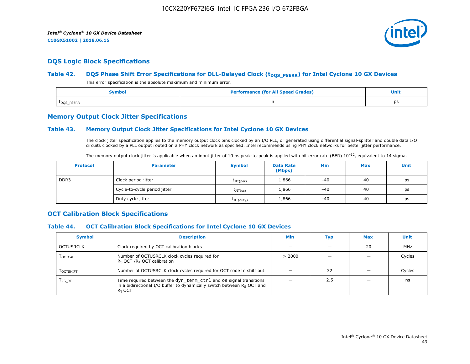

## **DQS Logic Block Specifications**

## Table 42. **DQS Phase Shift Error Specifications for DLL-Delayed Clock (t<sub>DQS\_PSERR</sub>) for Intel Cyclone 10 GX Devices**

This error specification is the absolute maximum and minimum error.

| Symbol                  | <b>Performance (for All Speed Grades)</b> | <b>Unit</b> |
|-------------------------|-------------------------------------------|-------------|
| t <sub>DQS</sub> _PSERR |                                           | ps          |

## **Memory Output Clock Jitter Specifications**

## **Table 43. Memory Output Clock Jitter Specifications for Intel Cyclone 10 GX Devices**

The clock jitter specification applies to the memory output clock pins clocked by an I/O PLL, or generated using differential signal-splitter and double data I/O circuits clocked by a PLL output routed on a PHY clock network as specified. Intel recommends using PHY clock networks for better jitter performance.

| The memory output clock jitter is applicable when an input jitter of 10 ps peak-to-peak is applied with bit error rate (BER) $10^{-12}$ , equivalent to 14 sigma. |  |
|-------------------------------------------------------------------------------------------------------------------------------------------------------------------|--|
|-------------------------------------------------------------------------------------------------------------------------------------------------------------------|--|

| <b>Protocol</b> | <b>Parameter</b>             | <b>Symbol</b>           | <b>Data Rate</b><br>(Mbps) | Min   | <b>Max</b> | Unit |
|-----------------|------------------------------|-------------------------|----------------------------|-------|------------|------|
| DDR3            | Clock period jitter          | $t$ JIT(per)            | 1,866                      | $-40$ | 40         | ps   |
|                 | Cycle-to-cycle period jitter | $\tau_{\text{JIT(cc)}}$ | 1,866                      | $-40$ | 40         | ps   |
|                 | Duty cycle jitter            | $t$ JIT $(duty)$        | 1,866                      | $-40$ | 40         | ps   |

## **OCT Calibration Block Specifications**

#### **Table 44. OCT Calibration Block Specifications for Intel Cyclone 10 GX Devices**

| <b>Symbol</b>                 | <b>Description</b>                                                                                                                                         | Min    | Typ | <b>Max</b> | Unit   |
|-------------------------------|------------------------------------------------------------------------------------------------------------------------------------------------------------|--------|-----|------------|--------|
| OCTUSRCLK                     | Clock required by OCT calibration blocks                                                                                                                   |        |     | 20         | MHz    |
| <b>LOCTCAL</b>                | Number of OCTUSRCLK clock cycles required for<br>$R_S$ OCT / $R_T$ OCT calibration                                                                         | > 2000 |     |            | Cycles |
| <b>LOCTSHIFT</b>              | Number of OCTUSRCLK clock cycles required for OCT code to shift out                                                                                        |        | 32  |            | Cycles |
| $\mathsf{T}_{\mathsf{RS-RT}}$ | Time required between the dyn_term_ctrl and oe signal transitions<br>in a bidirectional I/O buffer to dynamically switch between $Rs$ OCT and<br>$R_T$ OCT |        | 2.5 |            | ns     |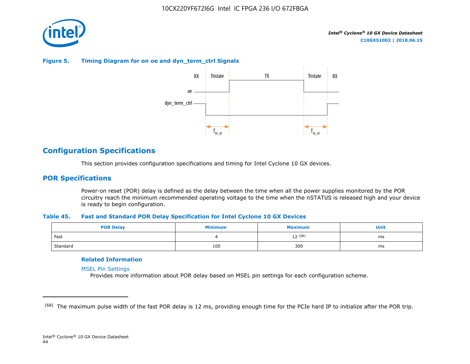

## **Figure 5. Timing Diagram for on oe and dyn\_term\_ctrl Signals**



# **Configuration Specifications**

This section provides configuration specifications and timing for Intel Cyclone 10 GX devices.

## **POR Specifications**

Power-on reset (POR) delay is defined as the delay between the time when all the power supplies monitored by the POR circuitry reach the minimum recommended operating voltage to the time when the nSTATUS is released high and your device is ready to begin configuration.

#### **Table 45. Fast and Standard POR Delay Specification for Intel Cyclone 10 GX Devices**

| <b>POR Delay</b> | Minimum | <b>Maximum</b> |    |
|------------------|---------|----------------|----|
| Fast             |         | $12^{(68)}$    | ms |
| Standard         | 100     | 300            | ms |

#### **Related Information**

[MSEL Pin Settings](https://www.altera.com/documentation/vua1487061384661.html#qui1490602367330)

Provides more information about POR delay based on MSEL pin settings for each configuration scheme.

<sup>&</sup>lt;sup>(68)</sup> The maximum pulse width of the fast POR delay is 12 ms, providing enough time for the PCIe hard IP to initialize after the POR trip.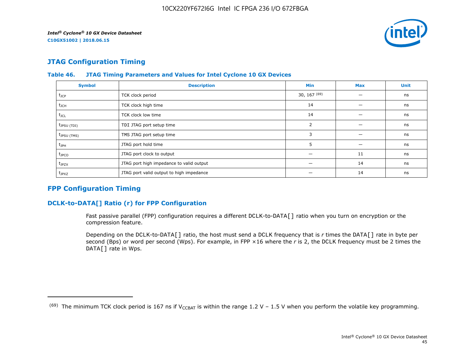

# **JTAG Configuration Timing**

| <b>Symbol</b>           | <b>Description</b>                       | Min            | <b>Max</b> | <b>Unit</b> |
|-------------------------|------------------------------------------|----------------|------------|-------------|
| $t_{\text{JCP}}$        | TCK clock period                         | 30, 167 $(69)$ |            | ns          |
| $t_{\rm JCH}$           | TCK clock high time                      | 14             |            | ns          |
| $t_{\text{JCL}}$        | TCK clock low time                       | 14             |            | ns          |
| $t_{JPSU (TDI)}$        | TDI JTAG port setup time                 | 2              |            | ns          |
| t <sub>JPSU</sub> (TMS) | TMS JTAG port setup time                 | 3              |            | ns          |
| $t_{\rm JPH}$           | JTAG port hold time                      |                |            | ns          |
| $t_{\text{JPCO}}$       | JTAG port clock to output                |                | 11         | ns          |
| $t_{JPZX}$              | JTAG port high impedance to valid output |                | 14         | ns          |
| $t_{JPXZ}$              | JTAG port valid output to high impedance |                | 14         | ns          |

## **Table 46. JTAG Timing Parameters and Values for Intel Cyclone 10 GX Devices**

# **FPP Configuration Timing**

## **DCLK-to-DATA[] Ratio (r) for FPP Configuration**

Fast passive parallel (FPP) configuration requires a different DCLK-to-DATA[] ratio when you turn on encryption or the compression feature.

Depending on the DCLK-to-DATA[] ratio, the host must send a DCLK frequency that is *r* times the DATA[] rate in byte per second (Bps) or word per second (Wps). For example, in FPP ×16 where the *r* is 2, the DCLK frequency must be 2 times the DATA[] rate in Wps.

<sup>&</sup>lt;sup>(69)</sup> The minimum TCK clock period is 167 ns if V<sub>CCBAT</sub> is within the range 1.2 V – 1.5 V when you perform the volatile key programming.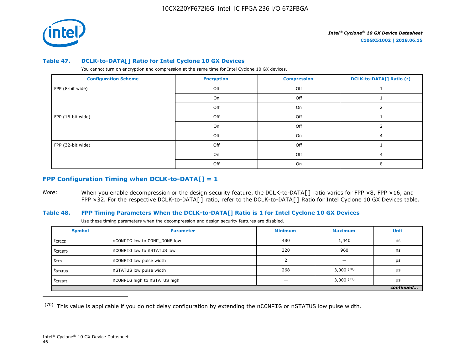

#### **Table 47. DCLK-to-DATA[] Ratio for Intel Cyclone 10 GX Devices**

You cannot turn on encryption and compression at the same time for Intel Cyclone 10 GX devices.

| <b>Configuration Scheme</b> | <b>Encryption</b> | <b>Compression</b> | <b>DCLK-to-DATA[] Ratio (r)</b> |
|-----------------------------|-------------------|--------------------|---------------------------------|
| FPP (8-bit wide)            | Off               | Off                |                                 |
|                             | On                | Off                |                                 |
|                             | Off               | On                 |                                 |
| FPP (16-bit wide)           | Off               | Off                |                                 |
|                             | On                | Off                |                                 |
|                             | Off               | On                 |                                 |
| FPP (32-bit wide)           | Off               | Off                |                                 |
|                             | On                | Off                | 4                               |
|                             | Off               | On                 |                                 |

## **FPP Configuration Timing when DCLK-to-DATA[] = 1**

*Note:* When you enable decompression or the design security feature, the DCLK-to-DATA[] ratio varies for FPP ×8, FPP ×16, and FPP ×32. For the respective DCLK-to-DATA[] ratio, refer to the DCLK-to-DATA[] Ratio for Intel Cyclone 10 GX Devices table.

## **Table 48. FPP Timing Parameters When the DCLK-to-DATA[] Ratio is 1 for Intel Cyclone 10 GX Devices**

Use these timing parameters when the decompression and design security features are disabled.

| <b>Symbol</b>       | <b>Parameter</b>             | <b>Minimum</b> | <b>Maximum</b>           | Unit      |
|---------------------|------------------------------|----------------|--------------------------|-----------|
| t <sub>CF2CD</sub>  | nCONFIG low to CONF DONE low | 480            | 1,440                    | ns        |
| $t_{CF2ST0}$        | nCONFIG low to nSTATUS low   | 320            | 960                      | ns        |
| $t_{CFG}$           | nCONFIG low pulse width      |                | $\overline{\phantom{0}}$ | μs        |
| t <sub>STATUS</sub> | nSTATUS low pulse width      | 268            | 3,000(70)                | μs        |
| $t$ CF2ST1          | nCONFIG high to nSTATUS high |                | $3,000^{(71)}$           | μs        |
|                     |                              |                |                          | continued |

 $(70)$  This value is applicable if you do not delay configuration by extending the nCONFIG or nSTATUS low pulse width.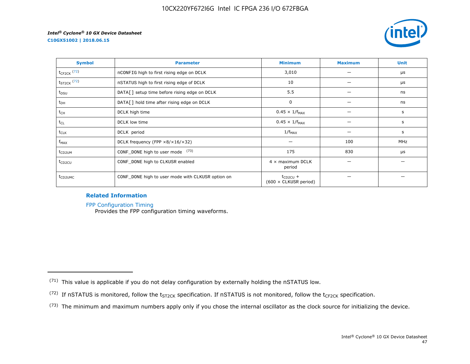



| <b>Symbol</b>       | <b>Parameter</b>                                     | <b>Minimum</b>                                | <b>Maximum</b> | <b>Unit</b> |
|---------------------|------------------------------------------------------|-----------------------------------------------|----------------|-------------|
| $t_{CF2CK}$ (72)    | nCONFIG high to first rising edge on DCLK            | 3,010                                         |                | μs          |
| $t_{ST2CK}$ (72)    | nSTATUS high to first rising edge of DCLK            | 10                                            |                | μs          |
| t <sub>DSU</sub>    | DATA[] setup time before rising edge on DCLK         | 5.5                                           |                | ns          |
| $t_{DH}$            | DATA[] hold time after rising edge on DCLK           | 0                                             |                | ns          |
| t <sub>CH</sub>     | DCLK high time                                       | $0.45 \times 1/f_{MAX}$                       |                | s           |
| $t_{CL}$            | DCLK low time                                        | $0.45 \times 1/f_{MAX}$                       |                | s           |
| $t_{CLK}$           | DCLK period                                          | $1/f_{MAX}$                                   |                | s           |
| $f_{MAX}$           | DCLK frequency (FPP $\times 8/\times 16/\times 32$ ) |                                               | 100            | <b>MHz</b>  |
| t <sub>CD2UM</sub>  | CONF_DONE high to user mode (73)                     | 175                                           | 830            | μs          |
| $t_{CD2CU}$         | CONF_DONE high to CLKUSR enabled                     | $4 \times$ maximum DCLK<br>period             |                |             |
| t <sub>CD2UMC</sub> | CONF_DONE high to user mode with CLKUSR option on    | $t_{CD2CU}$ +<br>$(600 \times$ CLKUSR period) |                |             |

## **Related Information**

[FPP Configuration Timing](https://www.altera.com/documentation/vua1487061384661.html#sss1425901817612)

Provides the FPP configuration timing waveforms.

<sup>(71)</sup> This value is applicable if you do not delay configuration by externally holding the nSTATUS low.

<sup>(72)</sup> If nSTATUS is monitored, follow the  $t_{ST2CK}$  specification. If nSTATUS is not monitored, follow the  $t_{CF2CK}$  specification.

<sup>(73)</sup> The minimum and maximum numbers apply only if you chose the internal oscillator as the clock source for initializing the device.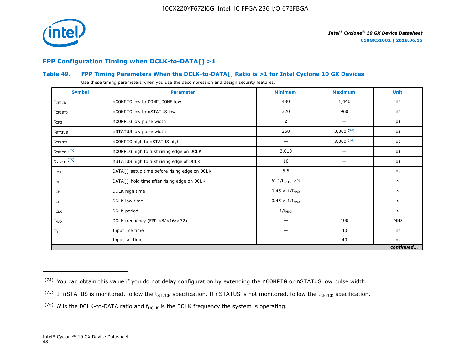

# **FPP Configuration Timing when DCLK-to-DATA[] >1**

## **Table 49. FPP Timing Parameters When the DCLK-to-DATA[] Ratio is >1 for Intel Cyclone 10 GX Devices**

Use these timing parameters when you use the decompression and design security features.

| <b>Symbol</b>       | <b>Parameter</b>                             | <b>Minimum</b>          | <b>Maximum</b> | <b>Unit</b> |
|---------------------|----------------------------------------------|-------------------------|----------------|-------------|
| $t_{CF2CD}$         | nCONFIG low to CONF_DONE low                 | 480                     | 1,440          | ns          |
| $t_{CF2ST0}$        | nCONFIG low to nSTATUS low                   | 320                     | 960            | ns          |
| $t_{CFG}$           | nCONFIG low pulse width                      | 2                       |                | μs          |
| t <sub>STATUS</sub> | nSTATUS low pulse width                      | 268                     | 3,000(74)      | μs          |
| $t_{CF2ST1}$        | nCONFIG high to nSTATUS high                 |                         | 3,000(74)      | μs          |
| $t_{CF2CK}$ (75)    | nCONFIG high to first rising edge on DCLK    | 3,010                   |                | $\mu$ s     |
| $t_{ST2CK}$ (75)    | nSTATUS high to first rising edge of DCLK    | 10                      |                | μs          |
| $t_{DSU}$           | DATA[] setup time before rising edge on DCLK | 5.5                     |                | ns          |
| $t_{DH}$            | DATA[] hold time after rising edge on DCLK   | $N-1/f_{DCLK}$ (76)     |                | s           |
| $t_{CH}$            | DCLK high time                               | $0.45 \times 1/f_{MAX}$ |                | s           |
| $t_{CL}$            | DCLK low time                                | $0.45 \times 1/f_{MAX}$ | —              | s           |
| $t_{CLK}$           | DCLK period                                  | $1/f_{MAX}$             |                | s           |
| $f_{MAX}$           | DCLK frequency (FPP ×8/×16/×32)              | -                       | 100            | <b>MHz</b>  |
| $t_{R}$             | Input rise time                              | -                       | 40             | ns          |
| $t_F$               | Input fall time                              | -                       | 40             | ns          |
|                     |                                              |                         |                | continued   |

 $(74)$  You can obtain this value if you do not delay configuration by extending the nCONFIG or nSTATUS low pulse width.

<sup>&</sup>lt;sup>(75)</sup> If nSTATUS is monitored, follow the  $t_{ST2CK}$  specification. If nSTATUS is not monitored, follow the  $t_{CF2CK}$  specification.

<sup>(76)</sup> *N* is the DCLK-to-DATA ratio and  $f_{DCLK}$  is the DCLK frequency the system is operating.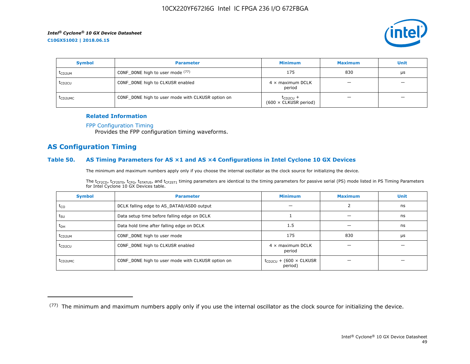

| <b>Symbol</b>       | <b>Parameter</b>                                  | <b>Minimum</b>                                | <b>Maximum</b>           | <b>Unit</b> |
|---------------------|---------------------------------------------------|-----------------------------------------------|--------------------------|-------------|
| t <sub>CD2UM</sub>  | CONF_DONE high to user mode (77)                  | 175                                           | 830                      | μs          |
| t <sub>CD2CU</sub>  | CONF_DONE high to CLKUSR enabled                  | $4 \times$ maximum DCLK<br>period             | $\overline{\phantom{0}}$ | -           |
| t <sub>CD2UMC</sub> | CONF_DONE high to user mode with CLKUSR option on | $t_{CD2CU}$ +<br>$(600 \times$ CLKUSR period) |                          | –           |

#### **Related Information**

#### [FPP Configuration Timing](https://www.altera.com/documentation/vua1487061384661.html#sss1425901817612)

Provides the FPP configuration timing waveforms.

## **AS Configuration Timing**

#### **Table 50. AS Timing Parameters for AS ×1 and AS ×4 Configurations in Intel Cyclone 10 GX Devices**

The minimum and maximum numbers apply only if you choose the internal oscillator as the clock source for initializing the device.

The t<sub>CF2CD</sub>, t<sub>CF2ST0</sub>, t<sub>CFG</sub>, t<sub>STATUS</sub>, and t<sub>CF2ST1</sub> timing parameters are identical to the timing parameters for passive serial (PS) mode listed in PS Timing Parameters for Intel Cyclone 10 GX Devices table.

| <b>Symbol</b>       | <b>Parameter</b>                                  | <b>Minimum</b>                                | <b>Maximum</b> | <b>Unit</b> |
|---------------------|---------------------------------------------------|-----------------------------------------------|----------------|-------------|
| $t_{CO}$            | DCLK falling edge to AS_DATA0/ASDO output         |                                               |                | ns          |
| $t_{\text{SU}}$     | Data setup time before falling edge on DCLK       |                                               |                | ns          |
| $t_{DH}$            | Data hold time after falling edge on DCLK         | 1.5                                           |                | ns          |
| t <sub>CD2UM</sub>  | CONF_DONE high to user mode                       | 175                                           | 830            | μs          |
| $t_{CD2CU}$         | CONF_DONE high to CLKUSR enabled                  | $4 \times$ maximum DCLK<br>period             |                |             |
| t <sub>CD2UMC</sub> | CONF_DONE high to user mode with CLKUSR option on | $t_{CD2CU}$ + (600 $\times$ CLKUSR<br>period) |                |             |

<sup>(77)</sup> The minimum and maximum numbers apply only if you use the internal oscillator as the clock source for initializing the device.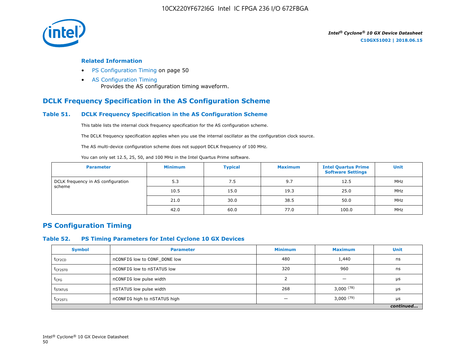

#### **Related Information**

- PS Configuration Timing on page 50
- [AS Configuration Timing](https://www.altera.com/documentation/vua1487061384661.html#sss1425901879133) Provides the AS configuration timing waveform.

# **DCLK Frequency Specification in the AS Configuration Scheme**

## **Table 51. DCLK Frequency Specification in the AS Configuration Scheme**

This table lists the internal clock frequency specification for the AS configuration scheme.

The DCLK frequency specification applies when you use the internal oscillator as the configuration clock source.

The AS multi-device configuration scheme does not support DCLK frequency of 100 MHz.

You can only set 12.5, 25, 50, and 100 MHz in the Intel Quartus Prime software.

| <b>Parameter</b>                             | <b>Minimum</b> | <b>Typical</b> | <b>Maximum</b> | <b>Intel Quartus Prime</b><br><b>Software Settings</b> | <b>Unit</b> |
|----------------------------------------------|----------------|----------------|----------------|--------------------------------------------------------|-------------|
| DCLK frequency in AS configuration<br>scheme | 5.3            | 7.5            | 9.7            | 12.5                                                   | MHz         |
|                                              | 10.5           | 15.0           | 19.3           | 25.0                                                   | MHz         |
|                                              | 21.0           | 30.0           | 38.5           | 50.0                                                   | MHz         |
|                                              | 42.0           | 60.0           | 77.0           | 100.0                                                  | MHz         |

## **PS Configuration Timing**

#### **Table 52. PS Timing Parameters for Intel Cyclone 10 GX Devices**

| <b>Symbol</b>       | <b>Parameter</b>             | <b>Minimum</b> | <b>Maximum</b> | <b>Unit</b> |
|---------------------|------------------------------|----------------|----------------|-------------|
| $t_{CF2CD}$         | nCONFIG low to CONF DONE low | 480            | 1,440          | ns          |
| t <sub>CF2ST0</sub> | nCONFIG low to nSTATUS low   | 320            | 960            | ns          |
| $t_{CFG}$           | nCONFIG low pulse width      |                |                | μs          |
| t <sub>STATUS</sub> | nSTATUS low pulse width      | 268            | $3,000^{(78)}$ | μs          |
| $t_{CF2ST1}$        | nCONFIG high to nSTATUS high |                | $3,000^{(79)}$ | μs          |
|                     |                              |                |                | continued   |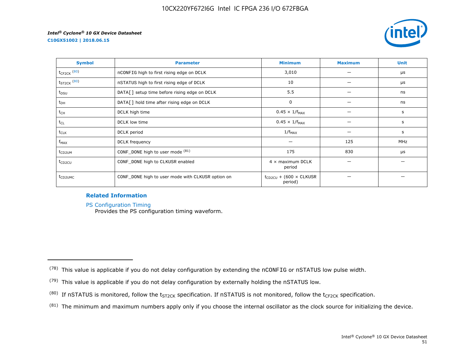**C10GX51002 | 2018.06.15**



| <b>Symbol</b>       | <b>Parameter</b>                                  | <b>Minimum</b>                                | <b>Maximum</b> | <b>Unit</b> |
|---------------------|---------------------------------------------------|-----------------------------------------------|----------------|-------------|
| $t_{CF2CK}$ (80)    | nCONFIG high to first rising edge on DCLK         | 3,010                                         |                | μs          |
| $t_{ST2CK}$ $(80)$  | nSTATUS high to first rising edge of DCLK         | 10                                            |                | μs          |
| t <sub>DSU</sub>    | DATA[] setup time before rising edge on DCLK      | 5.5                                           |                | ns          |
| $t_{DH}$            | DATA[] hold time after rising edge on DCLK        | 0                                             |                | ns          |
| t <sub>CH</sub>     | DCLK high time                                    | $0.45 \times 1/f_{MAX}$                       |                | s           |
| $t_{CL}$            | DCLK low time                                     | $0.45 \times 1/f_{MAX}$                       |                | s           |
| $t_{CLK}$           | DCLK period                                       | $1/f_{MAX}$                                   |                | s           |
| $f_{MAX}$           | DCLK frequency                                    |                                               | 125            | MHz         |
| t <sub>CD2UM</sub>  | CONF_DONE high to user mode (81)                  | 175                                           | 830            | μs          |
| t <sub>CD2CU</sub>  | CONF_DONE high to CLKUSR enabled                  | $4 \times$ maximum DCLK<br>period             |                |             |
| t <sub>CD2UMC</sub> | CONF_DONE high to user mode with CLKUSR option on | $t_{CD2CU}$ + (600 $\times$ CLKUSR<br>period) |                |             |

## **Related Information**

[PS Configuration Timing](https://www.altera.com/documentation/vua1487061384661.html#sss1425901911993)

Provides the PS configuration timing waveform.

 $(81)$  The minimum and maximum numbers apply only if you choose the internal oscillator as the clock source for initializing the device.

 $(78)$  This value is applicable if you do not delay configuration by extending the nCONFIG or nSTATUS low pulse width.

<sup>(79)</sup> This value is applicable if you do not delay configuration by externally holding the nSTATUS low.

<sup>(80)</sup> If nSTATUS is monitored, follow the  $t_{ST2CK}$  specification. If nSTATUS is not monitored, follow the  $t_{CF2CK}$  specification.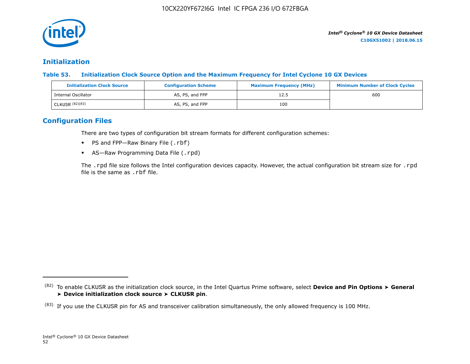

# **Initialization**

**Table 53. Initialization Clock Source Option and the Maximum Frequency for Intel Cyclone 10 GX Devices**

| <b>Initialization Clock Source</b> | <b>Configuration Scheme</b> | <b>Maximum Frequency (MHz)</b> | <b>Minimum Number of Clock Cycles</b> |
|------------------------------------|-----------------------------|--------------------------------|---------------------------------------|
| Internal Oscillator                | AS, PS, and FPP             | 12.5                           | 600                                   |
| CLKUSR (82)(83)                    | AS, PS, and FPP             | 100                            |                                       |

# **Configuration Files**

There are two types of configuration bit stream formats for different configuration schemes:

- PS and FPP-Raw Binary File (.rbf)
- AS-Raw Programming Data File (.rpd)

The .rpd file size follows the Intel configuration devices capacity. However, the actual configuration bit stream size for .rpd file is the same as .rbf file.

<sup>(82)</sup> To enable CLKUSR as the initialization clock source, in the Intel Quartus Prime software, select **Device and Pin Options** ➤ **General** ➤ **Device initialization clock source** ➤ **CLKUSR pin**.

 $(83)$  If you use the CLKUSR pin for AS and transceiver calibration simultaneously, the only allowed frequency is 100 MHz.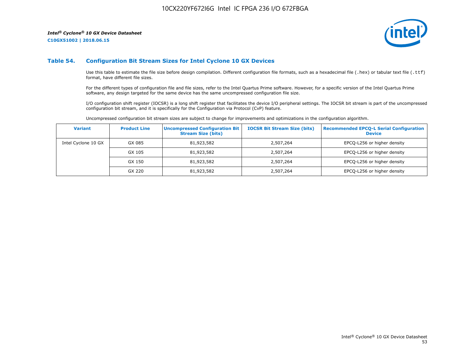**C10GX51002 | 2018.06.15**



#### **Table 54. Configuration Bit Stream Sizes for Intel Cyclone 10 GX Devices**

Use this table to estimate the file size before design compilation. Different configuration file formats, such as a hexadecimal file (.hex) or tabular text file (.ttf) format, have different file sizes.

For the different types of configuration file and file sizes, refer to the Intel Quartus Prime software. However, for a specific version of the Intel Quartus Prime software, any design targeted for the same device has the same uncompressed configuration file size.

I/O configuration shift register (IOCSR) is a long shift register that facilitates the device I/O peripheral settings. The IOCSR bit stream is part of the uncompressed configuration bit stream, and it is specifically for the Configuration via Protocol (CvP) feature.

Uncompressed configuration bit stream sizes are subject to change for improvements and optimizations in the configuration algorithm.

| <b>Variant</b>      | <b>Product Line</b> | <b>Uncompressed Configuration Bit</b><br><b>Stream Size (bits)</b> | <b>IOCSR Bit Stream Size (bits)</b> | <b>Recommended EPCO-L Serial Configuration</b><br><b>Device</b> |
|---------------------|---------------------|--------------------------------------------------------------------|-------------------------------------|-----------------------------------------------------------------|
| Intel Cyclone 10 GX | GX 085              | 81,923,582                                                         | 2,507,264                           | EPCQ-L256 or higher density                                     |
|                     | GX 105              | 81,923,582                                                         | 2,507,264                           | EPCQ-L256 or higher density                                     |
|                     | GX 150              | 81,923,582                                                         | 2,507,264                           | EPCQ-L256 or higher density                                     |
|                     | GX 220              | 81,923,582                                                         | 2,507,264                           | EPCQ-L256 or higher density                                     |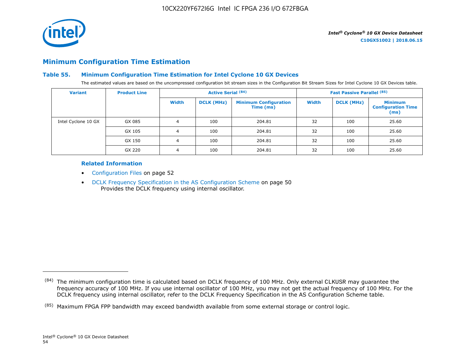

# **Minimum Configuration Time Estimation**

## **Table 55. Minimum Configuration Time Estimation for Intel Cyclone 10 GX Devices**

The estimated values are based on the uncompressed configuration bit stream sizes in the Configuration Bit Stream Sizes for Intel Cyclone 10 GX Devices table.

| <b>Variant</b>      | <b>Product Line</b> | <b>Active Serial (84)</b> |                   |                                           |       | <b>Fast Passive Parallel (85)</b> |                                                     |
|---------------------|---------------------|---------------------------|-------------------|-------------------------------------------|-------|-----------------------------------|-----------------------------------------------------|
|                     |                     | Width                     | <b>DCLK (MHz)</b> | <b>Minimum Configuration</b><br>Time (ms) | Width | <b>DCLK (MHz)</b>                 | <b>Minimum</b><br><b>Configuration Time</b><br>(ms) |
| Intel Cyclone 10 GX | GX 085              | 4                         | 100               | 204.81                                    | 32    | 100                               | 25.60                                               |
|                     | GX 105              | 4                         | 100               | 204.81                                    | 32    | 100                               | 25.60                                               |
|                     | GX 150              | 4                         | 100               | 204.81                                    | 32    | 100                               | 25.60                                               |
|                     | GX 220              |                           | 100               | 204.81                                    | 32    | 100                               | 25.60                                               |

## **Related Information**

- Configuration Files on page 52
- DCLK Frequency Specification in the AS Configuration Scheme on page 50 Provides the DCLK frequency using internal oscillator.

<sup>(84)</sup> The minimum configuration time is calculated based on DCLK frequency of 100 MHz. Only external CLKUSR may guarantee the frequency accuracy of 100 MHz. If you use internal oscillator of 100 MHz, you may not get the actual frequency of 100 MHz. For the DCLK frequency using internal oscillator, refer to the DCLK Frequency Specification in the AS Configuration Scheme table.

<sup>(85)</sup> Maximum FPGA FPP bandwidth may exceed bandwidth available from some external storage or control logic.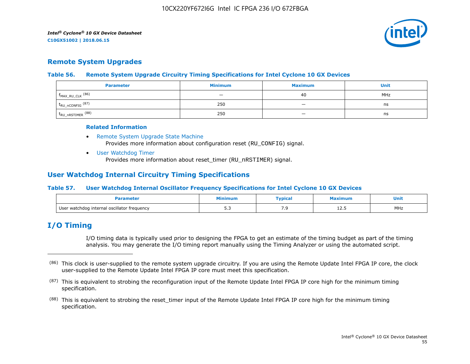

# **Remote System Upgrades**

## **Table 56. Remote System Upgrade Circuitry Timing Specifications for Intel Cyclone 10 GX Devices**

| <b>Parameter</b>               | <b>Minimum</b>           | <b>Maximum</b>           | Unit |
|--------------------------------|--------------------------|--------------------------|------|
| $f_{MAX_RU_CLK}$ (86)          | $\overline{\phantom{0}}$ | 40                       | MHz  |
| $t_{RU\_nCONFIG}$ (87)         | 250                      | $\overline{\phantom{a}}$ | ns   |
| $t_{\text{RU\_nRSTIMER}}$ (88) | 250                      |                          | ns   |

#### **Related Information**

- [Remote System Upgrade State Machine](https://www.altera.com/documentation/vua1487061384661.html#sam1403483214821) Provides more information about configuration reset (RU\_CONFIG) signal.
- [User Watchdog Timer](https://www.altera.com/documentation/vua1487061384661.html#sam1403483217279) Provides more information about reset\_timer (RU\_nRSTIMER) signal.

# **User Watchdog Internal Circuitry Timing Specifications**

## **Table 57. User Watchdog Internal Oscillator Frequency Specifications for Intel Cyclone 10 GX Devices**

| amete                                       | 1inimur      | <b>Typical</b> | ximum | Unit<br>__ |
|---------------------------------------------|--------------|----------------|-------|------------|
| User watchdog internal oscillator frequency | - -<br>ن ، ب | ,              | ᆂᄼᅩ   | MHz        |

# **I/O Timing**

I/O timing data is typically used prior to designing the FPGA to get an estimate of the timing budget as part of the timing analysis. You may generate the I/O timing report manually using the Timing Analyzer or using the automated script.

<sup>(86)</sup> This clock is user-supplied to the remote system upgrade circuitry. If you are using the Remote Update Intel FPGA IP core, the clock user-supplied to the Remote Update Intel FPGA IP core must meet this specification.

 $(87)$  This is equivalent to strobing the reconfiguration input of the Remote Update Intel FPGA IP core high for the minimum timing specification.

<sup>&</sup>lt;sup>(88)</sup> This is equivalent to strobing the reset\_timer input of the Remote Update Intel FPGA IP core high for the minimum timing specification.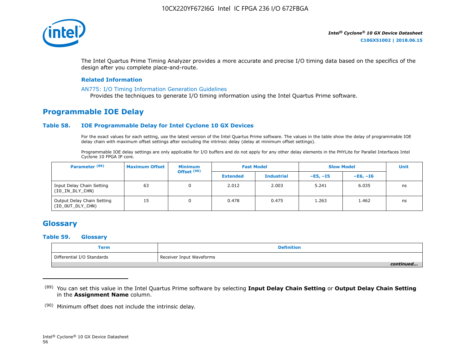

The Intel Quartus Prime Timing Analyzer provides a more accurate and precise I/O timing data based on the specifics of the design after you complete place-and-route.

#### **Related Information**

#### [AN775: I/O Timing Information Generation Guidelines](https://www.altera.com/documentation/brn1471986770305.html#obf1471988361539)

Provides the techniques to generate I/O timing information using the Intel Quartus Prime software.

# **Programmable IOE Delay**

#### **Table 58. IOE Programmable Delay for Intel Cyclone 10 GX Devices**

For the exact values for each setting, use the latest version of the Intel Quartus Prime software. The values in the table show the delay of programmable IOE delay chain with maximum offset settings after excluding the intrinsic delay (delay at minimum offset settings).

Programmable IOE delay settings are only applicable for I/O buffers and do not apply for any other delay elements in the PHYLite for Parallel Interfaces Intel Cyclone 10 FPGA IP core.

| Parameter <sup>(89)</sup>                      | <b>Maximum Offset</b> | <b>Minimum</b><br>Offset <sup>(90)</sup> |                 | <b>Fast Model</b> | <b>Slow Model</b> |            | <b>Unit</b> |
|------------------------------------------------|-----------------------|------------------------------------------|-----------------|-------------------|-------------------|------------|-------------|
|                                                |                       |                                          | <b>Extended</b> | <b>Industrial</b> | $-E5. -15$        | $-E6. -I6$ |             |
| Input Delay Chain Setting<br>(IO_IN_DLY_CHN)   | 63                    | 0                                        | 2.012           | 2.003             | 5.241             | 6.035      | ns          |
| Output Delay Chain Setting<br>(IO_OUT_DLY_CHN) | 15                    |                                          | 0.478           | 0.475             | 1.263             | 1.462      | ns          |

# **Glossary**

#### **Table 59. Glossary**

| Term                       | Definition               |
|----------------------------|--------------------------|
| Differential I/O Standards | Receiver Input Waveforms |
|                            |                          |

<sup>(89)</sup> You can set this value in the Intel Quartus Prime software by selecting **Input Delay Chain Setting** or **Output Delay Chain Setting** in the **Assignment Name** column.

 $(90)$  Minimum offset does not include the intrinsic delay.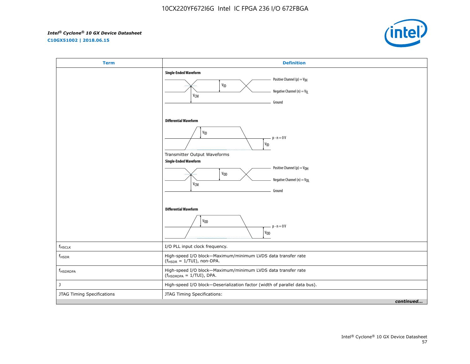**C10GX51002 | 2018.06.15**



| <b>Term</b>                | <b>Definition</b>                                                                                                                                                                                |
|----------------------------|--------------------------------------------------------------------------------------------------------------------------------------------------------------------------------------------------|
|                            | <b>Single-Ended Waveform</b><br>Positive Channel (p) = $V_{\text{H}}$<br>$\mathsf{v}_{\mathsf{ID}}$<br>Negative Channel (n) = $V_{\parallel}$<br><b>V<sub>CM</sub></b><br>Ground                 |
|                            | <b>Differential Waveform</b><br>V <sub>ID</sub><br>$p - n = 0V$<br>$\mathsf{v}_{\mathsf{ID}}$<br>Transmitter Output Waveforms<br><b>Single-Ended Waveform</b><br>Positive Channel (p) = $V_{OH}$ |
|                            | $\mathsf{V}_{\mathsf{OD}}$<br>Negative Channel (n) = $V_{OL}$<br><b>V<sub>CM</sub></b><br>Ground<br><b>Differential Waveform</b>                                                                 |
|                            | $\mathsf{V}_{\mathsf{OD}}$<br>$p - n = 0V$<br>$V_{0D}$                                                                                                                                           |
| $f_{HSCLK}$                | I/O PLL input clock frequency.                                                                                                                                                                   |
| $f_{HSDR}$                 | High-speed I/O block-Maximum/minimum LVDS data transfer rate<br>$(fHSDR = 1/TUI)$ , non-DPA.                                                                                                     |
| f <sub>HSDRDPA</sub>       | High-speed I/O block-Maximum/minimum LVDS data transfer rate<br>$(f_{HSDRDPA} = 1/TUI)$ , DPA.                                                                                                   |
| J                          | High-speed I/O block-Deserialization factor (width of parallel data bus).                                                                                                                        |
| JTAG Timing Specifications | JTAG Timing Specifications:                                                                                                                                                                      |
|                            | continued                                                                                                                                                                                        |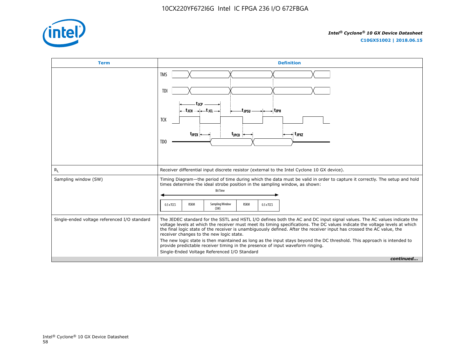

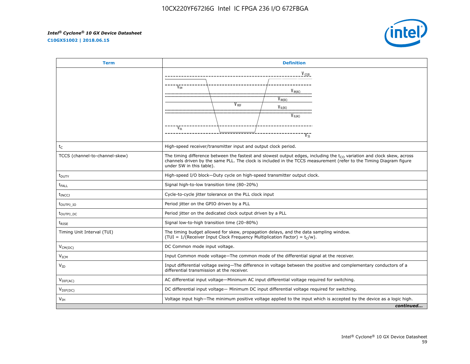**C10GX51002 | 2018.06.15**



| <b>Term</b>                      | <b>Definition</b>                                                                                                                                                                                                                                                             |
|----------------------------------|-------------------------------------------------------------------------------------------------------------------------------------------------------------------------------------------------------------------------------------------------------------------------------|
|                                  | $V_{CCD}$                                                                                                                                                                                                                                                                     |
|                                  | V <sub>OH</sub><br>$V_{\text{IH}(AC)}$                                                                                                                                                                                                                                        |
|                                  | $V_{\text{IH}(DC)}$<br>V <sub>RFF</sub><br>$V_{IL(DC)}$                                                                                                                                                                                                                       |
|                                  | $V_{IL(AC)}$                                                                                                                                                                                                                                                                  |
|                                  | $V_{OL}$                                                                                                                                                                                                                                                                      |
| $t_C$                            | High-speed receiver/transmitter input and output clock period.                                                                                                                                                                                                                |
| TCCS (channel-to-channel-skew)   | The timing difference between the fastest and slowest output edges, including the $t_{CO}$ variation and clock skew, across<br>channels driven by the same PLL. The clock is included in the TCCS measurement (refer to the Timing Diagram figure<br>under SW in this table). |
| $t_{\text{DUTY}}$                | High-speed I/O block-Duty cycle on high-speed transmitter output clock.                                                                                                                                                                                                       |
| t <sub>FALL</sub>                | Signal high-to-low transition time (80-20%)                                                                                                                                                                                                                                   |
| <b>t</b> <sub>INCC</sub>         | Cycle-to-cycle jitter tolerance on the PLL clock input                                                                                                                                                                                                                        |
| $t_{\text{OUTPJ}$ IO             | Period jitter on the GPIO driven by a PLL                                                                                                                                                                                                                                     |
| t <sub>outpj</sub> <sub>DC</sub> | Period jitter on the dedicated clock output driven by a PLL                                                                                                                                                                                                                   |
| $t_{RISE}$                       | Signal low-to-high transition time (20-80%)                                                                                                                                                                                                                                   |
| Timing Unit Interval (TUI)       | The timing budget allowed for skew, propagation delays, and the data sampling window.<br>(TUI = 1/(Receiver Input Clock Frequency Multiplication Factor) = $t_C/w$ ).                                                                                                         |
| $V_{CM(DC)}$                     | DC Common mode input voltage.                                                                                                                                                                                                                                                 |
| V <sub>ICM</sub>                 | Input Common mode voltage-The common mode of the differential signal at the receiver.                                                                                                                                                                                         |
| $V_{ID}$                         | Input differential voltage swing-The difference in voltage between the positive and complementary conductors of a<br>differential transmission at the receiver.                                                                                                               |
| $V_{\text{DIF(AC)}}$             | AC differential input voltage-Minimum AC input differential voltage required for switching.                                                                                                                                                                                   |
| $V_{\text{DIF(DC)}}$             | DC differential input voltage— Minimum DC input differential voltage required for switching.                                                                                                                                                                                  |
| V <sub>IH</sub>                  | Voltage input high—The minimum positive voltage applied to the input which is accepted by the device as a logic high.                                                                                                                                                         |
|                                  | continued                                                                                                                                                                                                                                                                     |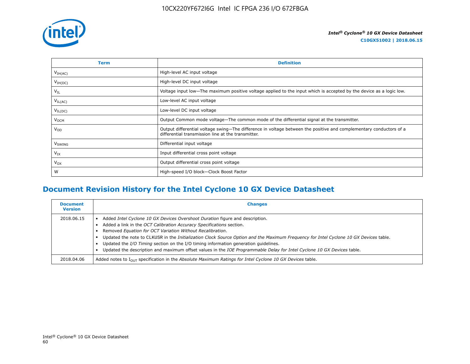

| Term                | <b>Definition</b>                                                                                                                                                        |
|---------------------|--------------------------------------------------------------------------------------------------------------------------------------------------------------------------|
| V <sub>IH(AC)</sub> | High-level AC input voltage                                                                                                                                              |
| $V_{IH(DC)}$        | High-level DC input voltage                                                                                                                                              |
| $V_{IL}$            | Voltage input low—The maximum positive voltage applied to the input which is accepted by the device as a logic low.                                                      |
| $V_{IL(AC)}$        | Low-level AC input voltage                                                                                                                                               |
| $V_{IL(DC)}$        | Low-level DC input voltage                                                                                                                                               |
| V <sub>OCM</sub>    | Output Common mode voltage—The common mode of the differential signal at the transmitter.                                                                                |
| $V_{OD}$            | Output differential voltage swing-The difference in voltage between the positive and complementary conductors of a<br>differential transmission line at the transmitter. |
| V <sub>SWING</sub>  | Differential input voltage                                                                                                                                               |
| $V_{IX}$            | Input differential cross point voltage                                                                                                                                   |
| $V_{OX}$            | Output differential cross point voltage                                                                                                                                  |
| W                   | High-speed I/O block-Clock Boost Factor                                                                                                                                  |

# **Document Revision History for the Intel Cyclone 10 GX Device Datasheet**

| <b>Document</b><br><b>Version</b> | <b>Changes</b>                                                                                                                                                                                                                                                                                                                                                                                                                                                                                                                                                              |
|-----------------------------------|-----------------------------------------------------------------------------------------------------------------------------------------------------------------------------------------------------------------------------------------------------------------------------------------------------------------------------------------------------------------------------------------------------------------------------------------------------------------------------------------------------------------------------------------------------------------------------|
| 2018.06.15                        | Added Intel Cyclone 10 GX Devices Overshoot Duration figure and description.<br>Added a link in the OCT Calibration Accuracy Specifications section.<br>Removed Equation for OCT Variation Without Recalibration.<br>Updated the note to CLKUSR in the Initialization Clock Source Option and the Maximum Frequency for Intel Cyclone 10 GX Devices table.<br>Updated the I/O Timing section on the I/O timing information generation quidelines.<br>Updated the description and maximum offset values in the IOE Programmable Delay for Intel Cyclone 10 GX Devices table. |
| 2018.04.06                        | Added notes to $I_{OUT}$ specification in the Absolute Maximum Ratings for Intel Cyclone 10 GX Devices table.                                                                                                                                                                                                                                                                                                                                                                                                                                                               |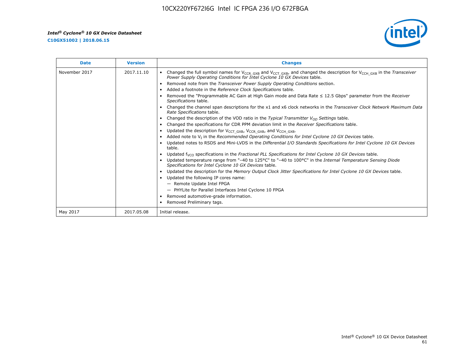**C10GX51002 | 2018.06.15**



| <b>Date</b>   | <b>Version</b> | <b>Changes</b>                                                                                                                                                                                                                        |
|---------------|----------------|---------------------------------------------------------------------------------------------------------------------------------------------------------------------------------------------------------------------------------------|
| November 2017 | 2017.11.10     | Changed the full symbol names for V <sub>CCR_GXB</sub> and V <sub>CCT_GXB</sub> , and changed the description for V <sub>CCH_GXB</sub> in the Transceiver<br>Power Supply Operating Conditions for Intel Cyclone 10 GX Devices table. |
|               |                | Removed note from the Transceiver Power Supply Operating Conditions section.                                                                                                                                                          |
|               |                | Added a footnote in the Reference Clock Specifications table.                                                                                                                                                                         |
|               |                | Removed the "Programmable AC Gain at High Gain mode and Data Rate $\leq$ 12.5 Gbps" parameter from the Receiver<br>Specifications table.                                                                                              |
|               |                | Changed the channel span descriptions for the x1 and x6 clock networks in the Transceiver Clock Network Maximum Data<br>Rate Specifications table.                                                                                    |
|               |                | Changed the description of the VOD ratio in the Typical Transmitter $V_{OD}$ Settings table.                                                                                                                                          |
|               |                | Changed the specifications for CDR PPM deviation limit in the Receiver Specifications table.                                                                                                                                          |
|               |                | Updated the description for V <sub>CCT_GXB</sub> , V <sub>CCR_GXB</sub> , and V <sub>CCH_GXB</sub> .<br>$\bullet$                                                                                                                     |
|               |                | Added note to $V1$ in the Recommended Operating Conditions for Intel Cyclone 10 GX Devices table.                                                                                                                                     |
|               |                | Updated notes to RSDS and Mini-LVDS in the Differential I/O Standards Specifications for Intel Cyclone 10 GX Devices<br>table.                                                                                                        |
|               |                | Updated f <sub>VCO</sub> specifications in the Fractional PLL Specifications for Intel Cyclone 10 GX Devices table.                                                                                                                   |
|               |                | Updated temperature range from "-40 to 125°C" to "-40 to 100°C" in the Internal Temperature Sensing Diode<br>Specifications for Intel Cyclone 10 GX Devices table.                                                                    |
|               |                | Updated the description for the Memory Output Clock Jitter Specifications for Intel Cyclone 10 GX Devices table.                                                                                                                      |
|               |                | Updated the following IP cores name:<br>$\bullet$                                                                                                                                                                                     |
|               |                | - Remote Update Intel FPGA                                                                                                                                                                                                            |
|               |                | - PHYLite for Parallel Interfaces Intel Cyclone 10 FPGA                                                                                                                                                                               |
|               |                | Removed automotive-grade information.                                                                                                                                                                                                 |
|               |                | Removed Preliminary tags.                                                                                                                                                                                                             |
| May 2017      | 2017.05.08     | Initial release.                                                                                                                                                                                                                      |